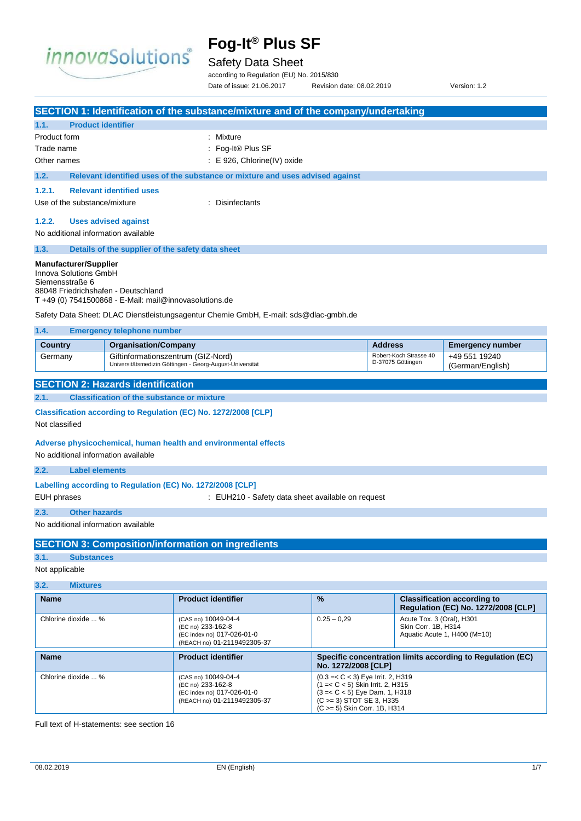

## Safety Data Sheet

according to Regulation (EU) No. 2015/830 Date of issue: 21.06.2017 Revision date: 08.02.2019 Version: 1.2

| 1.1.<br><b>Product identifier</b>                                                                                                                                                                                                                                    |                                                                                                                                          | SECTION 1: Identification of the substance/mixture and of the company/undertaking |  |               |  |
|----------------------------------------------------------------------------------------------------------------------------------------------------------------------------------------------------------------------------------------------------------------------|------------------------------------------------------------------------------------------------------------------------------------------|-----------------------------------------------------------------------------------|--|---------------|--|
| Product form                                                                                                                                                                                                                                                         |                                                                                                                                          | : Mixture                                                                         |  |               |  |
| Trade name                                                                                                                                                                                                                                                           |                                                                                                                                          | Fog-It® Plus SF                                                                   |  |               |  |
| Other names                                                                                                                                                                                                                                                          |                                                                                                                                          | : E 926, Chlorine(IV) oxide                                                       |  |               |  |
| 1.2.                                                                                                                                                                                                                                                                 |                                                                                                                                          | Relevant identified uses of the substance or mixture and uses advised against     |  |               |  |
| 1.2.1.                                                                                                                                                                                                                                                               | <b>Relevant identified uses</b>                                                                                                          |                                                                                   |  |               |  |
| Use of the substance/mixture                                                                                                                                                                                                                                         |                                                                                                                                          | : Disinfectants                                                                   |  |               |  |
| 1.2.2.                                                                                                                                                                                                                                                               | <b>Uses advised against</b>                                                                                                              |                                                                                   |  |               |  |
| No additional information available                                                                                                                                                                                                                                  |                                                                                                                                          |                                                                                   |  |               |  |
| 1.3.                                                                                                                                                                                                                                                                 | Details of the supplier of the safety data sheet                                                                                         |                                                                                   |  |               |  |
| <b>Manufacturer/Supplier</b><br>Innova Solutions GmbH<br>Siemensstraße 6<br>88048 Friedrichshafen - Deutschland<br>$T + 49$ (0) 7541500868 - E-Mail: mail@innovasolutions.de<br>Safety Data Sheet: DLAC Dienstleistungsagentur Chemie GmbH, E-mail: sds@dlac-gmbh.de |                                                                                                                                          |                                                                                   |  |               |  |
| 1.4.                                                                                                                                                                                                                                                                 | <b>Emergency telephone number</b>                                                                                                        |                                                                                   |  |               |  |
| <b>Country</b><br>Germany                                                                                                                                                                                                                                            | <b>Address</b><br><b>Organisation/Company</b><br><b>Emergency number</b><br>Robert-Koch Strasse 40<br>Giftinformationszentrum (GIZ-Nord) |                                                                                   |  | +49 551 19240 |  |
|                                                                                                                                                                                                                                                                      | D-37075 Göttingen<br>Universitätsmedizin Göttingen - Georg-August-Universität<br>(German/English)                                        |                                                                                   |  |               |  |
|                                                                                                                                                                                                                                                                      | <b>SECTION 2: Hazards identification</b>                                                                                                 |                                                                                   |  |               |  |
| 2.1.                                                                                                                                                                                                                                                                 | <b>Classification of the substance or mixture</b>                                                                                        |                                                                                   |  |               |  |
|                                                                                                                                                                                                                                                                      |                                                                                                                                          | Classification according to Regulation (EC) No. 1272/2008 [CLP]                   |  |               |  |
| Not classified                                                                                                                                                                                                                                                       |                                                                                                                                          |                                                                                   |  |               |  |
| Adverse physicochemical, human health and environmental effects<br>No additional information available<br>2.2.<br><b>Label elements</b>                                                                                                                              |                                                                                                                                          |                                                                                   |  |               |  |
| Labelling according to Regulation (EC) No. 1272/2008 [CLP]                                                                                                                                                                                                           |                                                                                                                                          |                                                                                   |  |               |  |
| <b>EUH</b> phrases<br>: EUH210 - Safety data sheet available on request                                                                                                                                                                                              |                                                                                                                                          |                                                                                   |  |               |  |
| 2.3.<br><b>Other hazards</b>                                                                                                                                                                                                                                         |                                                                                                                                          |                                                                                   |  |               |  |
| No additional information available                                                                                                                                                                                                                                  |                                                                                                                                          |                                                                                   |  |               |  |
|                                                                                                                                                                                                                                                                      |                                                                                                                                          |                                                                                   |  |               |  |
|                                                                                                                                                                                                                                                                      |                                                                                                                                          | <b>SECTION 3: Composition/information on ingredients</b>                          |  |               |  |
| 3.1.<br><b>Substances</b><br>Not applicable                                                                                                                                                                                                                          |                                                                                                                                          |                                                                                   |  |               |  |
|                                                                                                                                                                                                                                                                      |                                                                                                                                          |                                                                                   |  |               |  |
| 3.2.<br><b>Mixtures</b>                                                                                                                                                                                                                                              |                                                                                                                                          |                                                                                   |  |               |  |

| name                | <b>Product Identifier</b>                                                                             | $\frac{9}{2}$       | Classification according to<br><b>Regulation (EC) No. 1272/2008 [CLP]</b>        |
|---------------------|-------------------------------------------------------------------------------------------------------|---------------------|----------------------------------------------------------------------------------|
| Chlorine dioxide  % | (CAS no) 10049-04-4<br>(EC no) 233-162-8<br>(EC index no) 017-026-01-0<br>(REACH no) 01-2119492305-37 | $0.25 - 0.29$       | Acute Tox. 3 (Oral), H301<br>Skin Corr. 1B, H314<br>Aquatic Acute 1, H400 (M=10) |
| <b>Name</b>         | <b>Product identifier</b>                                                                             | No. 1272/2008 [CLP] | Specific concentration limits according to Regulation (EC)                       |
|                     |                                                                                                       |                     |                                                                                  |

Full text of H-statements: see section 16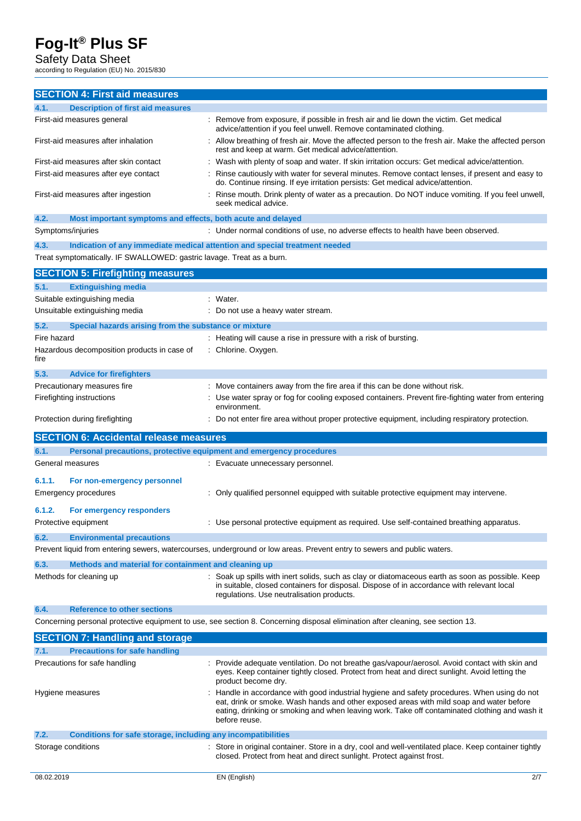## Safety Data Sheet

according to Regulation (EU) No. 2015/830

| <b>SECTION 4: First aid measures</b>                                        |                                                                                                                                                                                                                                          |
|-----------------------------------------------------------------------------|------------------------------------------------------------------------------------------------------------------------------------------------------------------------------------------------------------------------------------------|
|                                                                             |                                                                                                                                                                                                                                          |
| <b>Description of first aid measures</b><br>4.1.                            | Remove from exposure, if possible in fresh air and lie down the victim. Get medical                                                                                                                                                      |
| First-aid measures general                                                  | advice/attention if you feel unwell. Remove contaminated clothing.                                                                                                                                                                       |
| First-aid measures after inhalation                                         | Allow breathing of fresh air. Move the affected person to the fresh air. Make the affected person<br>rest and keep at warm. Get medical advice/attention.                                                                                |
| First-aid measures after skin contact                                       | Wash with plenty of soap and water. If skin irritation occurs: Get medical advice/attention.                                                                                                                                             |
| First-aid measures after eye contact                                        | Rinse cautiously with water for several minutes. Remove contact lenses, if present and easy to<br>do. Continue rinsing. If eye irritation persists: Get medical advice/attention.                                                        |
| First-aid measures after ingestion                                          | Rinse mouth. Drink plenty of water as a precaution. Do NOT induce vomiting. If you feel unwell,<br>seek medical advice.                                                                                                                  |
| 4.2.<br>Most important symptoms and effects, both acute and delayed         |                                                                                                                                                                                                                                          |
| Symptoms/injuries                                                           | : Under normal conditions of use, no adverse effects to health have been observed.                                                                                                                                                       |
| 4.3.                                                                        | Indication of any immediate medical attention and special treatment needed                                                                                                                                                               |
| Treat symptomatically. IF SWALLOWED: gastric lavage. Treat as a burn.       |                                                                                                                                                                                                                                          |
| <b>SECTION 5: Firefighting measures</b>                                     |                                                                                                                                                                                                                                          |
| <b>Extinguishing media</b><br>5.1.                                          |                                                                                                                                                                                                                                          |
| Suitable extinguishing media                                                | : Water.                                                                                                                                                                                                                                 |
| Unsuitable extinguishing media                                              | : Do not use a heavy water stream.                                                                                                                                                                                                       |
| 5.2.<br>Special hazards arising from the substance or mixture               |                                                                                                                                                                                                                                          |
| Fire hazard                                                                 | : Heating will cause a rise in pressure with a risk of bursting.                                                                                                                                                                         |
| Hazardous decomposition products in case of<br>fire                         | Chlorine. Oxygen.                                                                                                                                                                                                                        |
| 5.3.<br><b>Advice for firefighters</b>                                      |                                                                                                                                                                                                                                          |
| Precautionary measures fire                                                 | Move containers away from the fire area if this can be done without risk.                                                                                                                                                                |
| Firefighting instructions                                                   | Use water spray or fog for cooling exposed containers. Prevent fire-fighting water from entering<br>environment.                                                                                                                         |
| Protection during firefighting                                              | Do not enter fire area without proper protective equipment, including respiratory protection.                                                                                                                                            |
| <b>SECTION 6: Accidental release measures</b>                               |                                                                                                                                                                                                                                          |
| 6.1.<br>Personal precautions, protective equipment and emergency procedures |                                                                                                                                                                                                                                          |
| General measures                                                            | : Evacuate unnecessary personnel.                                                                                                                                                                                                        |
| 6.1.1.<br>For non-emergency personnel                                       |                                                                                                                                                                                                                                          |
| <b>Emergency procedures</b>                                                 | Only qualified personnel equipped with suitable protective equipment may intervene.                                                                                                                                                      |
| 6.1.2.<br>For emergency responders                                          |                                                                                                                                                                                                                                          |
| Protective equipment                                                        | Use personal protective equipment as required. Use self-contained breathing apparatus.                                                                                                                                                   |
| 6.2.<br><b>Environmental precautions</b>                                    |                                                                                                                                                                                                                                          |
|                                                                             | Prevent liquid from entering sewers, watercourses, underground or low areas. Prevent entry to sewers and public waters.                                                                                                                  |
| Methods and material for containment and cleaning up<br>6.3.                |                                                                                                                                                                                                                                          |
| Methods for cleaning up                                                     | Soak up spills with inert solids, such as clay or diatomaceous earth as soon as possible. Keep<br>in suitable, closed containers for disposal. Dispose of in accordance with relevant local<br>regulations. Use neutralisation products. |
| 6.4.<br><b>Reference to other sections</b>                                  |                                                                                                                                                                                                                                          |
|                                                                             | Concerning personal protective equipment to use, see section 8. Concerning disposal elimination after cleaning, see section 13.                                                                                                          |
| <b>SECTION 7: Handling and storage</b>                                      |                                                                                                                                                                                                                                          |
| <b>Precautions for safe handling</b><br>7.1.                                |                                                                                                                                                                                                                                          |

| Precautions for safe handling                                        | : Provide adequate ventilation. Do not breathe gas/vapour/aerosol. Avoid contact with skin and<br>eyes. Keep container tightly closed. Protect from heat and direct sunlight. Avoid letting the<br>product become dry.                                                                                  |
|----------------------------------------------------------------------|---------------------------------------------------------------------------------------------------------------------------------------------------------------------------------------------------------------------------------------------------------------------------------------------------------|
| Hygiene measures                                                     | Handle in accordance with good industrial hygiene and safety procedures. When using do not<br>eat, drink or smoke. Wash hands and other exposed areas with mild soap and water before<br>eating, drinking or smoking and when leaving work. Take off contaminated clothing and wash it<br>before reuse. |
| 7.2.<br>Conditions for safe storage, including any incompatibilities |                                                                                                                                                                                                                                                                                                         |
| Storage conditions                                                   | Store in original container. Store in a dry, cool and well-ventilated place. Keep container tightly<br>closed. Protect from heat and direct sunlight. Protect against frost.                                                                                                                            |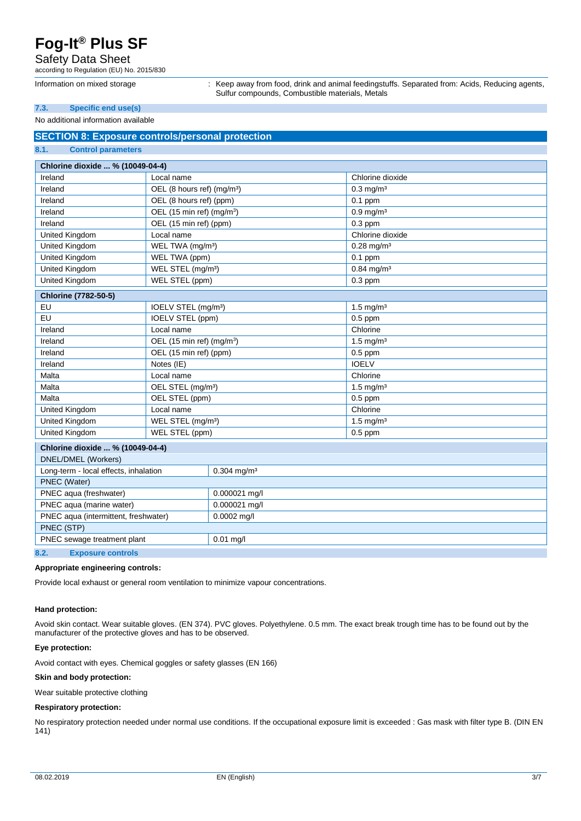## Safety Data Sheet

according to Regulation (EU) No. 2015/830

Information on mixed storage : Keep away from food, drink and animal feedingstuffs. Separated from: Acids, Reducing agents, Sulfur compounds, Combustible materials, Metals

### **7.3. Specific end use(s)**

#### No additional information available

### **SECTION 8: Exposure controls/personal protection 8.1. Control parameters**

| Chlorine dioxide  % (10049-04-4)      |                                        |                           |                          |  |
|---------------------------------------|----------------------------------------|---------------------------|--------------------------|--|
| Ireland                               | Local name                             |                           | Chlorine dioxide         |  |
| Ireland                               | OEL (8 hours ref) (mg/m <sup>3</sup> ) |                           | $0.3$ mg/m <sup>3</sup>  |  |
| Ireland                               | OEL (8 hours ref) (ppm)                |                           | $0.1$ ppm                |  |
| Ireland                               | OEL (15 min ref) (mg/m <sup>3</sup> )  |                           | $0.9 \,\mathrm{mg/m^3}$  |  |
| Ireland                               | OEL (15 min ref) (ppm)                 |                           | $0.3$ ppm                |  |
| United Kingdom                        | Local name                             |                           | Chlorine dioxide         |  |
| United Kingdom                        | WEL TWA (mg/m <sup>3</sup> )           |                           | $0.28$ mg/m <sup>3</sup> |  |
| <b>United Kingdom</b>                 | WEL TWA (ppm)                          |                           | $0.1$ ppm                |  |
| <b>United Kingdom</b>                 | WEL STEL (mg/m <sup>3</sup> )          |                           | $0.84$ mg/m <sup>3</sup> |  |
| United Kingdom                        | WEL STEL (ppm)                         |                           | $0.3$ ppm                |  |
| <b>Chlorine (7782-50-5)</b>           |                                        |                           |                          |  |
| EU                                    | IOELV STEL (mg/m <sup>3</sup> )        |                           | $1.5 \text{ mg/m}^3$     |  |
| EU                                    | <b>IOELV STEL (ppm)</b>                |                           | $0.5$ ppm                |  |
| Ireland                               | Local name                             |                           | Chlorine                 |  |
| Ireland                               | OEL (15 min ref) (mg/m <sup>3</sup> )  |                           | $1.5 \text{ mg/m}^3$     |  |
| Ireland                               | OEL (15 min ref) (ppm)                 |                           | $0.5$ ppm                |  |
| Ireland                               | Notes (IE)                             |                           | <b>IOELV</b>             |  |
| Malta                                 | Local name                             |                           | Chlorine                 |  |
| Malta                                 | OEL STEL (mg/m <sup>3</sup> )          |                           | $1.5 \text{ mg/m}^3$     |  |
| Malta                                 | OEL STEL (ppm)                         |                           | $0.5$ ppm                |  |
| United Kingdom                        | Local name                             |                           | Chlorine                 |  |
| United Kingdom                        | WEL STEL (mg/m <sup>3</sup> )          |                           | $1.5$ mg/m <sup>3</sup>  |  |
| United Kingdom                        | WEL STEL (ppm)                         |                           | $0.5$ ppm                |  |
| Chlorine dioxide  % (10049-04-4)      |                                        |                           |                          |  |
| <b>DNEL/DMEL (Workers)</b>            |                                        |                           |                          |  |
| Long-term - local effects, inhalation |                                        | $0.304$ mg/m <sup>3</sup> |                          |  |
| PNEC (Water)                          |                                        |                           |                          |  |
| PNEC aqua (freshwater)                |                                        | 0.000021 mg/l             |                          |  |
| PNEC aqua (marine water)              |                                        | 0.000021 mg/l             |                          |  |
| PNEC aqua (intermittent, freshwater)  |                                        | $0.0002$ mg/l             |                          |  |
| PNEC (STP)                            |                                        |                           |                          |  |
| PNEC sewage treatment plant           |                                        | $0.01$ mg/l               |                          |  |
| 8.2.<br><b>Exposure controls</b>      |                                        |                           |                          |  |

## **Appropriate engineering controls:**

Provide local exhaust or general room ventilation to minimize vapour concentrations.

#### **Hand protection:**

Avoid skin contact. Wear suitable gloves. (EN 374). PVC gloves. Polyethylene. 0.5 mm. The exact break trough time has to be found out by the manufacturer of the protective gloves and has to be observed.

### **Eye protection:**

Avoid contact with eyes. Chemical goggles or safety glasses (EN 166)

### **Skin and body protection:**

Wear suitable protective clothing

### **Respiratory protection:**

No respiratory protection needed under normal use conditions. If the occupational exposure limit is exceeded : Gas mask with filter type B. (DIN EN 141)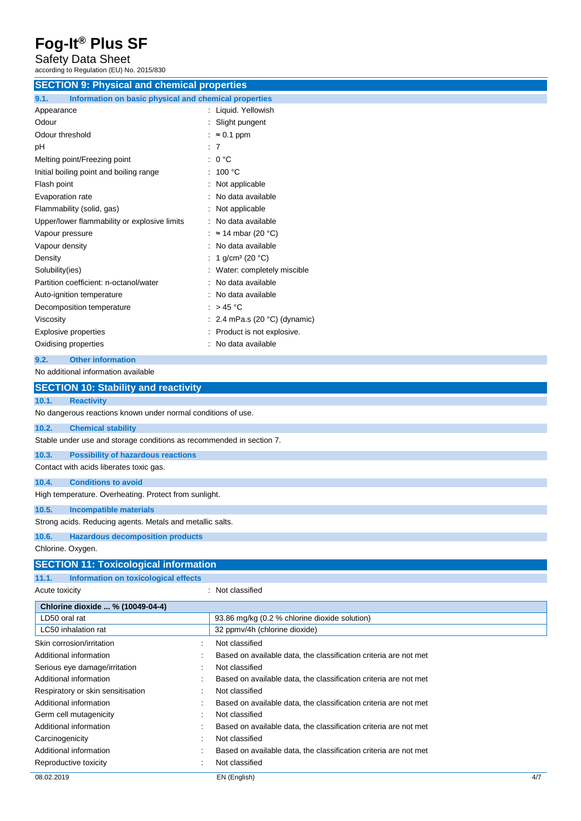Safety Data Sheet

| according to Regulation (EU) No. 2015/830                            |                                                                                    |  |
|----------------------------------------------------------------------|------------------------------------------------------------------------------------|--|
| <b>SECTION 9: Physical and chemical properties</b>                   |                                                                                    |  |
| Information on basic physical and chemical properties<br>9.1.        |                                                                                    |  |
| Appearance                                                           | : Liquid. Yellowish                                                                |  |
| Odour                                                                | Slight pungent                                                                     |  |
| Odour threshold                                                      | $\approx 0.1$ ppm                                                                  |  |
| pH                                                                   | 7                                                                                  |  |
| Melting point/Freezing point                                         | 0 °C                                                                               |  |
| Initial boiling point and boiling range                              | 100 °C                                                                             |  |
| Flash point                                                          | Not applicable                                                                     |  |
| Evaporation rate                                                     | No data available                                                                  |  |
| Flammability (solid, gas)                                            | Not applicable                                                                     |  |
| Upper/lower flammability or explosive limits                         | No data available                                                                  |  |
| Vapour pressure                                                      | $\approx$ 14 mbar (20 °C)                                                          |  |
| Vapour density                                                       | No data available                                                                  |  |
| Density                                                              | 1 $q/cm^3$ (20 °C)                                                                 |  |
| Solubility(ies)                                                      | Water: completely miscible                                                         |  |
| Partition coefficient: n-octanol/water                               | No data available                                                                  |  |
| Auto-ignition temperature                                            | No data available                                                                  |  |
| Decomposition temperature                                            | : $> 45^{\circ}$ C                                                                 |  |
| Viscosity                                                            | $\therefore$ 2.4 mPa.s (20 °C) (dynamic)                                           |  |
| <b>Explosive properties</b>                                          | Product is not explosive.                                                          |  |
| Oxidising properties                                                 | No data available                                                                  |  |
|                                                                      |                                                                                    |  |
| 9.2.<br><b>Other information</b>                                     |                                                                                    |  |
| No additional information available                                  |                                                                                    |  |
| <b>SECTION 10: Stability and reactivity</b>                          |                                                                                    |  |
| 10.1.<br><b>Reactivity</b>                                           |                                                                                    |  |
| No dangerous reactions known under normal conditions of use.         |                                                                                    |  |
| 10.2.<br><b>Chemical stability</b>                                   |                                                                                    |  |
| Stable under use and storage conditions as recommended in section 7. |                                                                                    |  |
| 10.3.<br><b>Possibility of hazardous reactions</b>                   |                                                                                    |  |
| Contact with acids liberates toxic gas.                              |                                                                                    |  |
| <b>Conditions to avoid</b><br>10.4.                                  |                                                                                    |  |
| High temperature. Overheating. Protect from sunlight.                |                                                                                    |  |
|                                                                      |                                                                                    |  |
| 10.5.<br><b>Incompatible materials</b>                               |                                                                                    |  |
| Strong acids. Reducing agents. Metals and metallic salts.            |                                                                                    |  |
| 10.6.<br><b>Hazardous decomposition products</b>                     |                                                                                    |  |
| Chlorine. Oxygen.                                                    |                                                                                    |  |
| <b>SECTION 11: Toxicological information</b>                         |                                                                                    |  |
| 11.1.<br><b>Information on toxicological effects</b>                 |                                                                                    |  |
| Acute toxicity                                                       | : Not classified                                                                   |  |
|                                                                      |                                                                                    |  |
| Chlorine dioxide  % (10049-04-4)                                     |                                                                                    |  |
| LD50 oral rat<br>LC50 inhalation rat                                 | 93.86 mg/kg (0.2 % chlorine dioxide solution)<br>32 ppmv/4h (chlorine dioxide)     |  |
|                                                                      |                                                                                    |  |
| Skin corrosion/irritation                                            | Not classified                                                                     |  |
| Additional information                                               | Based on available data, the classification criteria are not met                   |  |
| Serious eye damage/irritation<br>Additional information              | Not classified<br>Based on available data, the classification criteria are not met |  |
| Respiratory or skin sensitisation                                    | Not classified                                                                     |  |
| Additional information                                               | Based on available data, the classification criteria are not met                   |  |
| Germ cell mutagenicity                                               | Not classified                                                                     |  |
| Additional information                                               | Based on available data, the classification criteria are not met                   |  |
| Carcinogenicity                                                      | Not classified                                                                     |  |
| Additional information                                               | Based on available data, the classification criteria are not met                   |  |
|                                                                      |                                                                                    |  |

Reproductive toxicity **in the case of the CR**eproductive toxicity

<sup>08.02.2019</sup> EN (English) 4/7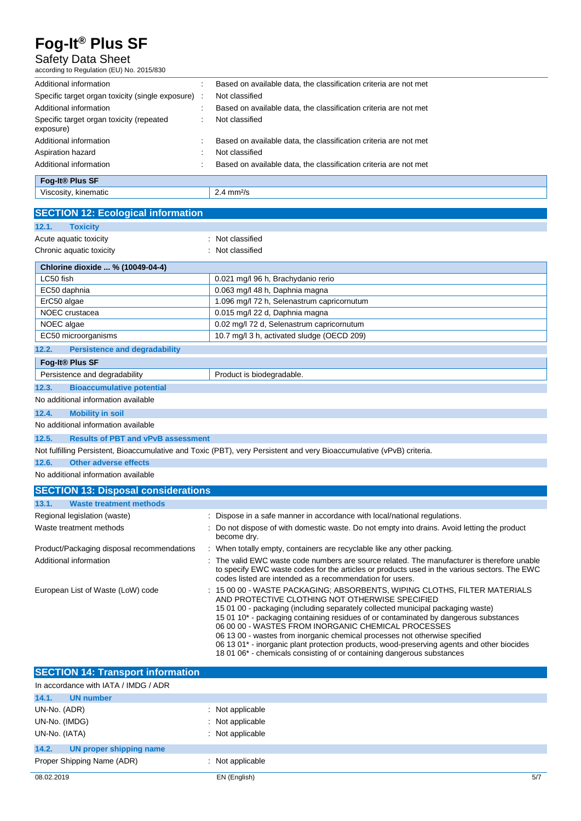## Safety Data Sheet

according to Regulation (EU) No. 2015/830

| Additional information                                | Based on available data, the classification criteria are not met |
|-------------------------------------------------------|------------------------------------------------------------------|
| Specific target organ toxicity (single exposure) :    | Not classified                                                   |
| Additional information                                | Based on available data, the classification criteria are not met |
| Specific target organ toxicity (repeated<br>exposure) | Not classified                                                   |
| Additional information                                | Based on available data, the classification criteria are not met |
| Aspiration hazard                                     | Not classified                                                   |
| Additional information                                | Based on available data, the classification criteria are not met |
| Fog-It <sup>®</sup> Plus SF                           |                                                                  |
| Viscosity, kinematic                                  | $2.4$ mm $2/s$                                                   |

| <b>SECTION 12: Ecological information</b>          |                                                                                                                                                                                                                                                                                                                                                                                                                                                                                                                                                                                                                                 |
|----------------------------------------------------|---------------------------------------------------------------------------------------------------------------------------------------------------------------------------------------------------------------------------------------------------------------------------------------------------------------------------------------------------------------------------------------------------------------------------------------------------------------------------------------------------------------------------------------------------------------------------------------------------------------------------------|
| 12.1.<br><b>Toxicity</b>                           |                                                                                                                                                                                                                                                                                                                                                                                                                                                                                                                                                                                                                                 |
| Acute aquatic toxicity                             | Not classified                                                                                                                                                                                                                                                                                                                                                                                                                                                                                                                                                                                                                  |
| Chronic aquatic toxicity                           | Not classified                                                                                                                                                                                                                                                                                                                                                                                                                                                                                                                                                                                                                  |
|                                                    |                                                                                                                                                                                                                                                                                                                                                                                                                                                                                                                                                                                                                                 |
| Chlorine dioxide  % (10049-04-4)                   |                                                                                                                                                                                                                                                                                                                                                                                                                                                                                                                                                                                                                                 |
| LC50 fish                                          | 0.021 mg/l 96 h, Brachydanio rerio                                                                                                                                                                                                                                                                                                                                                                                                                                                                                                                                                                                              |
| EC50 daphnia                                       | 0.063 mg/l 48 h, Daphnia magna                                                                                                                                                                                                                                                                                                                                                                                                                                                                                                                                                                                                  |
| ErC50 algae                                        | 1.096 mg/l 72 h, Selenastrum capricornutum                                                                                                                                                                                                                                                                                                                                                                                                                                                                                                                                                                                      |
| NOEC crustacea                                     | 0.015 mg/l 22 d, Daphnia magna                                                                                                                                                                                                                                                                                                                                                                                                                                                                                                                                                                                                  |
| NOEC algae                                         | 0.02 mg/l 72 d, Selenastrum capricornutum                                                                                                                                                                                                                                                                                                                                                                                                                                                                                                                                                                                       |
| EC50 microorganisms                                | 10.7 mg/l 3 h, activated sludge (OECD 209)                                                                                                                                                                                                                                                                                                                                                                                                                                                                                                                                                                                      |
| 12.2.<br><b>Persistence and degradability</b>      |                                                                                                                                                                                                                                                                                                                                                                                                                                                                                                                                                                                                                                 |
| Fog-It® Plus SF                                    |                                                                                                                                                                                                                                                                                                                                                                                                                                                                                                                                                                                                                                 |
| Persistence and degradability                      | Product is biodegradable.                                                                                                                                                                                                                                                                                                                                                                                                                                                                                                                                                                                                       |
| 12.3.<br><b>Bioaccumulative potential</b>          |                                                                                                                                                                                                                                                                                                                                                                                                                                                                                                                                                                                                                                 |
| No additional information available                |                                                                                                                                                                                                                                                                                                                                                                                                                                                                                                                                                                                                                                 |
| 12.4.<br><b>Mobility in soil</b>                   |                                                                                                                                                                                                                                                                                                                                                                                                                                                                                                                                                                                                                                 |
| No additional information available                |                                                                                                                                                                                                                                                                                                                                                                                                                                                                                                                                                                                                                                 |
| <b>Results of PBT and vPvB assessment</b><br>12.5. |                                                                                                                                                                                                                                                                                                                                                                                                                                                                                                                                                                                                                                 |
|                                                    | Not fulfilling Persistent, Bioaccumulative and Toxic (PBT), very Persistent and very Bioaccumulative (vPvB) criteria.                                                                                                                                                                                                                                                                                                                                                                                                                                                                                                           |
| 12.6.<br><b>Other adverse effects</b>              |                                                                                                                                                                                                                                                                                                                                                                                                                                                                                                                                                                                                                                 |
| No additional information available                |                                                                                                                                                                                                                                                                                                                                                                                                                                                                                                                                                                                                                                 |
| <b>SECTION 13: Disposal considerations</b>         |                                                                                                                                                                                                                                                                                                                                                                                                                                                                                                                                                                                                                                 |
| 13.1.<br><b>Waste treatment methods</b>            |                                                                                                                                                                                                                                                                                                                                                                                                                                                                                                                                                                                                                                 |
| Regional legislation (waste)                       | Dispose in a safe manner in accordance with local/national regulations.                                                                                                                                                                                                                                                                                                                                                                                                                                                                                                                                                         |
| Waste treatment methods                            | Do not dispose of with domestic waste. Do not empty into drains. Avoid letting the product<br>become dry.                                                                                                                                                                                                                                                                                                                                                                                                                                                                                                                       |
| Product/Packaging disposal recommendations         | When totally empty, containers are recyclable like any other packing.                                                                                                                                                                                                                                                                                                                                                                                                                                                                                                                                                           |
| Additional information                             | The valid EWC waste code numbers are source related. The manufacturer is therefore unable<br>to specify EWC waste codes for the articles or products used in the various sectors. The EWC<br>codes listed are intended as a recommendation for users.                                                                                                                                                                                                                                                                                                                                                                           |
| European List of Waste (LoW) code                  | 15 00 00 - WASTE PACKAGING; ABSORBENTS, WIPING CLOTHS, FILTER MATERIALS<br>AND PROTECTIVE CLOTHING NOT OTHERWISE SPECIFIED<br>15 01 00 - packaging (including separately collected municipal packaging waste)<br>15 01 10* - packaging containing residues of or contaminated by dangerous substances<br>06 00 00 - WASTES FROM INORGANIC CHEMICAL PROCESSES<br>06 13 00 - wastes from inorganic chemical processes not otherwise specified<br>06 13 01* - inorganic plant protection products, wood-preserving agents and other biocides<br>18 01 06 <sup>*</sup> - chemicals consisting of or containing dangerous substances |

| <b>SECTION 14: Transport information</b> |                  |     |
|------------------------------------------|------------------|-----|
| In accordance with IATA / IMDG / ADR     |                  |     |
| 14.1.<br><b>UN number</b>                |                  |     |
| UN-No. (ADR)                             | : Not applicable |     |
| UN-No. (IMDG)                            | : Not applicable |     |
| UN-No. (IATA)                            | : Not applicable |     |
| 14.2.<br>UN proper shipping name         |                  |     |
| Proper Shipping Name (ADR)               | : Not applicable |     |
| 08.02.2019                               | EN (English)     | 5/7 |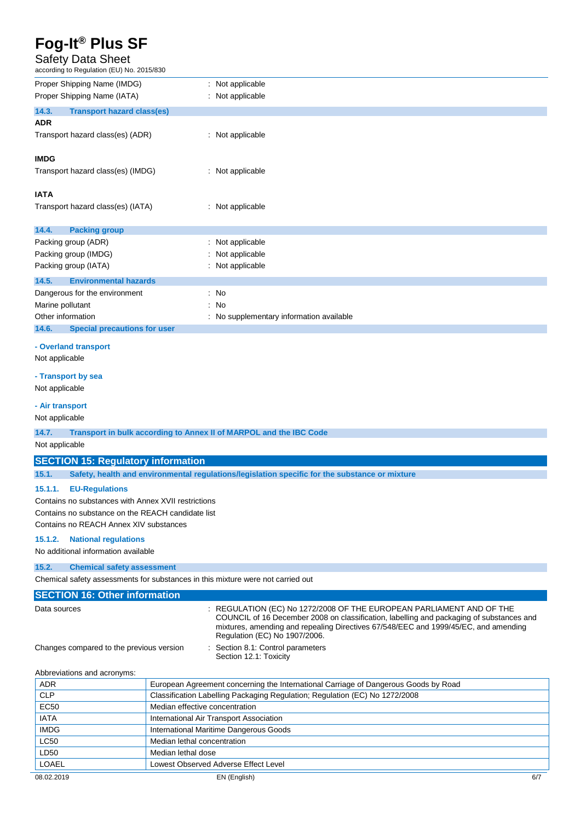## Safety Data Sheet

according to Regulation (EU) No. 2015/830

| according to Regulation (EU) No. 2015/830           |                                                                                                                                                                                                                                                                                          |
|-----------------------------------------------------|------------------------------------------------------------------------------------------------------------------------------------------------------------------------------------------------------------------------------------------------------------------------------------------|
| Proper Shipping Name (IMDG)                         | : Not applicable                                                                                                                                                                                                                                                                         |
| Proper Shipping Name (IATA)                         | : Not applicable                                                                                                                                                                                                                                                                         |
| 14.3.<br><b>Transport hazard class(es)</b>          |                                                                                                                                                                                                                                                                                          |
| <b>ADR</b>                                          |                                                                                                                                                                                                                                                                                          |
| Transport hazard class(es) (ADR)                    | : Not applicable                                                                                                                                                                                                                                                                         |
| <b>IMDG</b>                                         |                                                                                                                                                                                                                                                                                          |
| Transport hazard class(es) (IMDG)                   | : Not applicable                                                                                                                                                                                                                                                                         |
|                                                     |                                                                                                                                                                                                                                                                                          |
| <b>IATA</b>                                         |                                                                                                                                                                                                                                                                                          |
| Transport hazard class(es) (IATA)                   | : Not applicable                                                                                                                                                                                                                                                                         |
| 14.4.<br><b>Packing group</b>                       |                                                                                                                                                                                                                                                                                          |
| Packing group (ADR)                                 | : Not applicable                                                                                                                                                                                                                                                                         |
| Packing group (IMDG)                                | Not applicable                                                                                                                                                                                                                                                                           |
| Packing group (IATA)                                | : Not applicable                                                                                                                                                                                                                                                                         |
| <b>Environmental hazards</b><br>14.5.               |                                                                                                                                                                                                                                                                                          |
| Dangerous for the environment                       | : No                                                                                                                                                                                                                                                                                     |
| Marine pollutant                                    | No<br>÷                                                                                                                                                                                                                                                                                  |
| Other information                                   | No supplementary information available                                                                                                                                                                                                                                                   |
| <b>Special precautions for user</b><br>14.6.        |                                                                                                                                                                                                                                                                                          |
| - Overland transport<br>Not applicable              |                                                                                                                                                                                                                                                                                          |
| - Transport by sea                                  |                                                                                                                                                                                                                                                                                          |
| Not applicable                                      |                                                                                                                                                                                                                                                                                          |
| - Air transport                                     |                                                                                                                                                                                                                                                                                          |
| Not applicable                                      |                                                                                                                                                                                                                                                                                          |
| 14.7.                                               | Transport in bulk according to Annex II of MARPOL and the IBC Code                                                                                                                                                                                                                       |
| Not applicable                                      |                                                                                                                                                                                                                                                                                          |
|                                                     |                                                                                                                                                                                                                                                                                          |
| <b>SECTION 15: Regulatory information</b>           |                                                                                                                                                                                                                                                                                          |
| 15.1.                                               | Safety, health and environmental regulations/legislation specific for the substance or mixture                                                                                                                                                                                           |
| 15.1.1.<br><b>EU-Regulations</b>                    |                                                                                                                                                                                                                                                                                          |
| Contains no substances with Annex XVII restrictions |                                                                                                                                                                                                                                                                                          |
| Contains no substance on the REACH candidate list   |                                                                                                                                                                                                                                                                                          |
| Contains no REACH Annex XIV substances              |                                                                                                                                                                                                                                                                                          |
| <b>National regulations</b><br>15.1.2.              |                                                                                                                                                                                                                                                                                          |
| No additional information available                 |                                                                                                                                                                                                                                                                                          |
| 15.2.<br><b>Chemical safety assessment</b>          |                                                                                                                                                                                                                                                                                          |
|                                                     | Chemical safety assessments for substances in this mixture were not carried out                                                                                                                                                                                                          |
|                                                     |                                                                                                                                                                                                                                                                                          |
| <b>SECTION 16: Other information</b>                |                                                                                                                                                                                                                                                                                          |
| Data sources                                        | : REGULATION (EC) No 1272/2008 OF THE EUROPEAN PARLIAMENT AND OF THE<br>COUNCIL of 16 December 2008 on classification, labelling and packaging of substances and<br>mixtures, amending and repealing Directives 67/548/EEC and 1999/45/EC, and amending<br>Regulation (EC) No 1907/2006. |
| Changes compared to the previous version            | : Section 8.1: Control parameters<br>Section 12.1: Toxicity                                                                                                                                                                                                                              |
| Abbreviations and acronyms:                         |                                                                                                                                                                                                                                                                                          |
| <b>ADR</b>                                          | European Agreement concerning the International Carriage of Dangerous Goods by Road                                                                                                                                                                                                      |
| <b>CLP</b>                                          | Classification Labelling Packaging Regulation; Regulation (EC) No 1272/2008                                                                                                                                                                                                              |
| EC50                                                | Median effective concentration                                                                                                                                                                                                                                                           |
| <b>IATA</b>                                         | International Air Transport Association                                                                                                                                                                                                                                                  |
| <b>IMDG</b>                                         | International Maritime Dangerous Goods                                                                                                                                                                                                                                                   |
| <b>LC50</b>                                         | Median lethal concentration                                                                                                                                                                                                                                                              |
| LD50                                                | Median lethal dose                                                                                                                                                                                                                                                                       |
| LOAEL                                               | Lowest Observed Adverse Effect Level                                                                                                                                                                                                                                                     |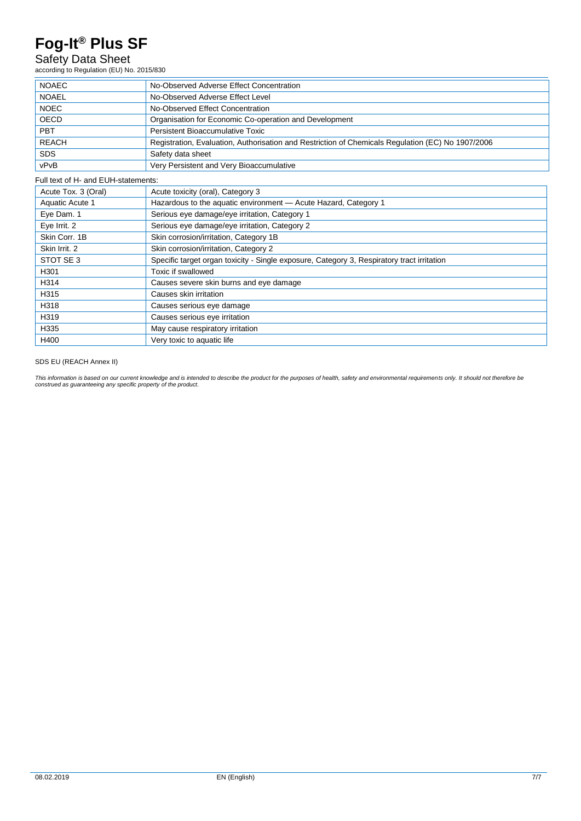## Safety Data Sheet

according to Regulation (EU) No. 2015/830

| <b>NOAEC</b> | No-Observed Adverse Effect Concentration                                                          |
|--------------|---------------------------------------------------------------------------------------------------|
| <b>NOAEL</b> | No-Observed Adverse Effect Level                                                                  |
| <b>NOEC</b>  | No-Observed Effect Concentration                                                                  |
| OECD         | Organisation for Economic Co-operation and Development                                            |
| PBT          | Persistent Bioaccumulative Toxic                                                                  |
| <b>REACH</b> | Registration, Evaluation, Authorisation and Restriction of Chemicals Regulation (EC) No 1907/2006 |
| <b>SDS</b>   | Safety data sheet                                                                                 |
| vPvB         | Very Persistent and Very Bioaccumulative                                                          |

Full text of H- and EUH-statements:

| Acute Tox. 3 (Oral) | Acute toxicity (oral), Category 3                                                          |
|---------------------|--------------------------------------------------------------------------------------------|
| Aquatic Acute 1     | Hazardous to the aquatic environment - Acute Hazard, Category 1                            |
| Eye Dam. 1          | Serious eye damage/eye irritation, Category 1                                              |
| Eye Irrit. 2        | Serious eye damage/eye irritation, Category 2                                              |
| Skin Corr. 1B       | Skin corrosion/irritation, Category 1B                                                     |
| Skin Irrit, 2       | Skin corrosion/irritation, Category 2                                                      |
| STOT SE 3           | Specific target organ toxicity - Single exposure, Category 3, Respiratory tract irritation |
| H301                | Toxic if swallowed                                                                         |
| H314                | Causes severe skin burns and eye damage                                                    |
| H315                | Causes skin irritation                                                                     |
| H318                | Causes serious eye damage                                                                  |
| H319                | Causes serious eye irritation                                                              |
| H335                | May cause respiratory irritation                                                           |
| H400                | Very toxic to aquatic life                                                                 |

### SDS EU (REACH Annex II)

This information is based on our current knowledge and is intended to describe the product for the purposes of health, safety and environmental requirements only. It should not therefore be<br>construed as guaranteeing any sp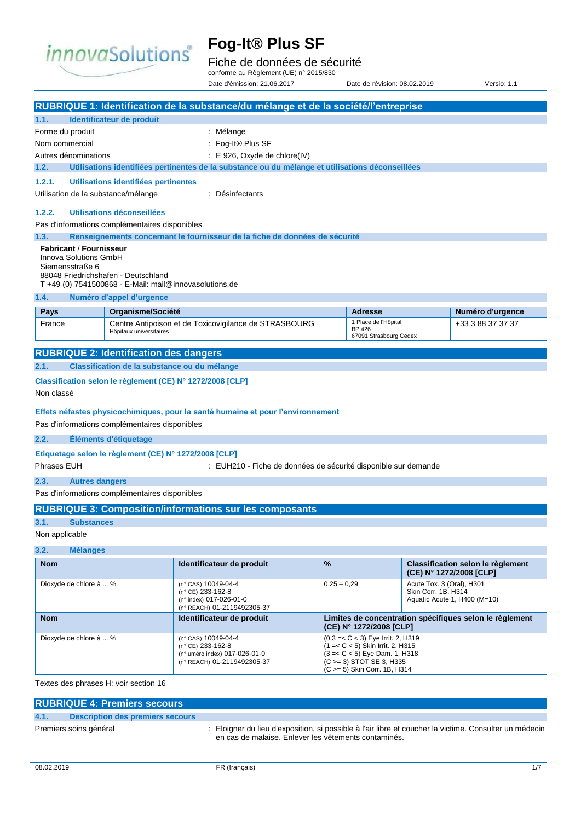

## Fiche de données de sécurité

conforme au Règlement (UE) n° 2015/830 Date d'émission: 21.06.2017 Date de révision: 08.02.2019 Versio: 1.1

|                                               |                                                        | RUBRIQUE 1: Identification de la substance/du mélange et de la société/l'entreprise              |               |                                                               |                           |                                                              |
|-----------------------------------------------|--------------------------------------------------------|--------------------------------------------------------------------------------------------------|---------------|---------------------------------------------------------------|---------------------------|--------------------------------------------------------------|
| 1.1.                                          | Identificateur de produit                              |                                                                                                  |               |                                                               |                           |                                                              |
| Forme du produit                              |                                                        | : Mélange                                                                                        |               |                                                               |                           |                                                              |
| Nom commercial                                |                                                        | : Fog-It® Plus SF                                                                                |               |                                                               |                           |                                                              |
| Autres dénominations                          |                                                        | : E 926, Oxyde de chlore(IV)                                                                     |               |                                                               |                           |                                                              |
| 1.2.                                          |                                                        | Utilisations identifiées pertinentes de la substance ou du mélange et utilisations déconseillées |               |                                                               |                           |                                                              |
| 1.2.1.                                        | Utilisations identifiées pertinentes                   |                                                                                                  |               |                                                               |                           |                                                              |
| Utilisation de la substance/mélange           |                                                        | : Désinfectants                                                                                  |               |                                                               |                           |                                                              |
| 1.2.2.                                        | Utilisations déconseillées                             |                                                                                                  |               |                                                               |                           |                                                              |
|                                               | Pas d'informations complémentaires disponibles         |                                                                                                  |               |                                                               |                           |                                                              |
| 1.3.                                          |                                                        | Renseignements concernant le fournisseur de la fiche de données de sécurité                      |               |                                                               |                           |                                                              |
| <b>Fabricant / Fournisseur</b>                |                                                        |                                                                                                  |               |                                                               |                           |                                                              |
| Innova Solutions GmbH<br>Siemensstraße 6      |                                                        |                                                                                                  |               |                                                               |                           |                                                              |
|                                               | 88048 Friedrichshafen - Deutschland                    |                                                                                                  |               |                                                               |                           |                                                              |
|                                               | T +49 (0) 7541500868 - E-Mail: mail@innovasolutions.de |                                                                                                  |               |                                                               |                           |                                                              |
| 1.4.                                          | Numéro d'appel d'urgence                               |                                                                                                  |               |                                                               |                           |                                                              |
| <b>Pays</b>                                   | Organisme/Société                                      |                                                                                                  |               | <b>Adresse</b>                                                |                           | Numéro d'urgence                                             |
| France                                        | Hôpitaux universitaires                                | Centre Antipoison et de Toxicovigilance de STRASBOURG                                            |               | 1 Place de l'Hôpital<br><b>BP 426</b>                         |                           | +33 3 88 37 37 37                                            |
|                                               |                                                        |                                                                                                  |               | 67091 Strasbourg Cedex                                        |                           |                                                              |
| <b>RUBRIQUE 2: Identification des dangers</b> |                                                        |                                                                                                  |               |                                                               |                           |                                                              |
| 2.1.                                          | Classification de la substance ou du mélange           |                                                                                                  |               |                                                               |                           |                                                              |
|                                               |                                                        | Classification selon le règlement (CE) N° 1272/2008 [CLP]                                        |               |                                                               |                           |                                                              |
| Non classé                                    |                                                        |                                                                                                  |               |                                                               |                           |                                                              |
|                                               |                                                        |                                                                                                  |               |                                                               |                           |                                                              |
|                                               |                                                        | Effets néfastes physicochimiques, pour la santé humaine et pour l'environnement                  |               |                                                               |                           |                                                              |
|                                               | Pas d'informations complémentaires disponibles         |                                                                                                  |               |                                                               |                           |                                                              |
| 2.2.                                          | Éléments d'étiquetage                                  |                                                                                                  |               |                                                               |                           |                                                              |
|                                               | Etiquetage selon le règlement (CE) N° 1272/2008 [CLP]  |                                                                                                  |               |                                                               |                           |                                                              |
| Phrases EUH                                   |                                                        | : EUH210 - Fiche de données de sécurité disponible sur demande                                   |               |                                                               |                           |                                                              |
| 2.3.<br><b>Autres dangers</b>                 |                                                        |                                                                                                  |               |                                                               |                           |                                                              |
|                                               | Pas d'informations complémentaires disponibles         |                                                                                                  |               |                                                               |                           |                                                              |
|                                               |                                                        | <b>RUBRIQUE 3: Composition/informations sur les composants</b>                                   |               |                                                               |                           |                                                              |
| 3.1.<br><b>Substances</b>                     |                                                        |                                                                                                  |               |                                                               |                           |                                                              |
| Non applicable                                |                                                        |                                                                                                  |               |                                                               |                           |                                                              |
| 3.2.<br><b>Mélanges</b>                       |                                                        |                                                                                                  |               |                                                               |                           |                                                              |
|                                               |                                                        |                                                                                                  | %             |                                                               |                           |                                                              |
| <b>Nom</b>                                    |                                                        | Identificateur de produit                                                                        |               |                                                               |                           | Classification selon le règlement<br>(CE) N° 1272/2008 [CLP] |
| Dioxyde de chlore à  %                        |                                                        | (n° CAS) 10049-04-4                                                                              | $0.25 - 0.29$ |                                                               | Acute Tox. 3 (Oral), H301 |                                                              |
|                                               |                                                        | (n° CE) 233-162-8<br>(n° index) 017-026-01-0                                                     |               |                                                               | Skin Corr. 1B, H314       | Aquatic Acute 1, H400 (M=10)                                 |
|                                               |                                                        | (n° REACH) 01-2119492305-37                                                                      |               |                                                               |                           |                                                              |
| <b>Nom</b>                                    |                                                        | Identificateur de produit                                                                        |               | (CE) N° 1272/2008 [CLP]                                       |                           | Limites de concentration spécifiques selon le règlement      |
| Dioxyde de chlore à  %                        |                                                        | (n° CAS) 10049-04-4                                                                              |               | $(0,3=< C < 3)$ Eye Irrit. 2, H319                            |                           |                                                              |
|                                               |                                                        | (n° CE) 233-162-8                                                                                |               | $(1 = < C < 5)$ Skin Irrit. 2, H315                           |                           |                                                              |
|                                               |                                                        | (n° uméro index) 017-026-01-0<br>(n° REACH) 01-2119492305-37                                     |               | $(3 = < C < 5)$ Eye Dam. 1, H318<br>(C > = 3) STOT SE 3, H335 |                           |                                                              |
|                                               |                                                        |                                                                                                  |               | (C >= 5) Skin Corr. 1B, H314                                  |                           |                                                              |
| Textes des phrases H: voir section 16         |                                                        |                                                                                                  |               |                                                               |                           |                                                              |

|      | <b>RUBRIQUE 4: Premiers secours</b>     |  |                                                                                                                                                                |  |
|------|-----------------------------------------|--|----------------------------------------------------------------------------------------------------------------------------------------------------------------|--|
| 4.1. | <b>Description des premiers secours</b> |  |                                                                                                                                                                |  |
|      | Premiers soins général                  |  | : Eloigner du lieu d'exposition, si possible à l'air libre et coucher la victime. Consulter un médecin<br>en cas de malaise. Enlever les vêtements contaminés. |  |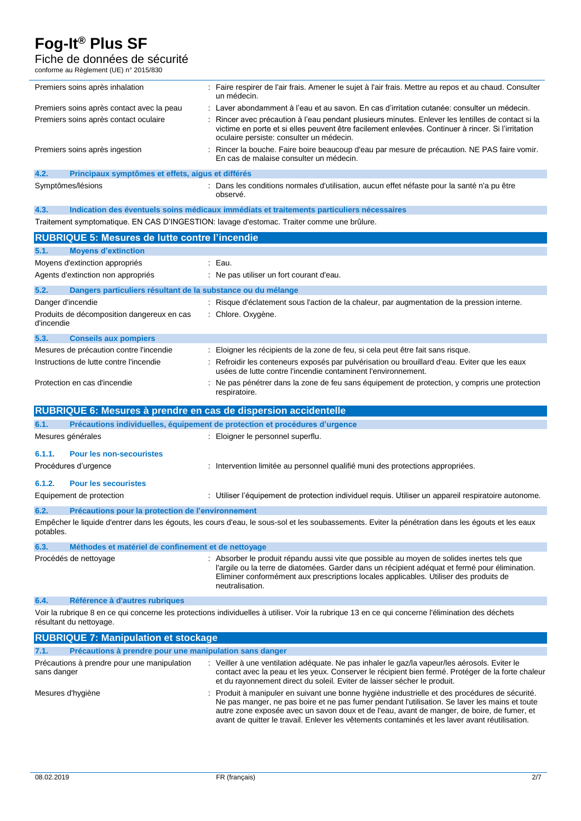## Fiche de données de sécurité

conforme au Règlement (UE) n° 2015/830

|      | Premiers soins après inhalation                   | : Faire respirer de l'air frais. Amener le sujet à l'air frais. Mettre au repos et au chaud. Consulter<br>un médecin.                                                                                                                                |
|------|---------------------------------------------------|------------------------------------------------------------------------------------------------------------------------------------------------------------------------------------------------------------------------------------------------------|
|      | Premiers soins après contact avec la peau         | : Laver abondamment à l'eau et au savon. En cas d'irritation cutanée: consulter un médecin.                                                                                                                                                          |
|      | Premiers soins après contact oculaire             | : Rincer avec précaution à l'eau pendant plusieurs minutes. Enlever les lentilles de contact si la<br>victime en porte et si elles peuvent être facilement enlevées. Continuer à rincer. Si l'irritation<br>oculaire persiste: consulter un médecin. |
|      | Premiers soins après ingestion                    | : Rincer la bouche. Faire boire beaucoup d'eau par mesure de précaution. NE PAS faire vomir.<br>En cas de malaise consulter un médecin.                                                                                                              |
| 4.2. | Principaux symptômes et effets, aigus et différés |                                                                                                                                                                                                                                                      |
|      |                                                   |                                                                                                                                                                                                                                                      |

Symptômes/lésions **intervalse : Dans les conditions normales d'utilisation**, aucun effet néfaste pour la santé n'a pu être observé.

## **4.3. Indication des éventuels soins médicaux immédiats et traitements particuliers nécessaires**

Traitement symptomatique. EN CAS D'INGESTION: lavage d'estomac. Traiter comme une brûlure.

|                                | <b>RUBRIQUE 5: Mesures de lutte contre l'incendie</b>           |                                                                                                                                                                                                                                                                                       |
|--------------------------------|-----------------------------------------------------------------|---------------------------------------------------------------------------------------------------------------------------------------------------------------------------------------------------------------------------------------------------------------------------------------|
| 5.1.                           | <b>Moyens d'extinction</b>                                      |                                                                                                                                                                                                                                                                                       |
| Moyens d'extinction appropriés |                                                                 | : Eau.                                                                                                                                                                                                                                                                                |
|                                | Agents d'extinction non appropriés                              | Ne pas utiliser un fort courant d'eau.                                                                                                                                                                                                                                                |
| 5.2.                           | Dangers particuliers résultant de la substance ou du mélange    |                                                                                                                                                                                                                                                                                       |
| Danger d'incendie              |                                                                 | : Risque d'éclatement sous l'action de la chaleur, par augmentation de la pression interne.                                                                                                                                                                                           |
| d'incendie                     | Produits de décomposition dangereux en cas                      | Chlore. Oxygène.                                                                                                                                                                                                                                                                      |
| 5.3.                           | <b>Conseils aux pompiers</b>                                    |                                                                                                                                                                                                                                                                                       |
|                                | Mesures de précaution contre l'incendie                         | Eloigner les récipients de la zone de feu, si cela peut être fait sans risque.                                                                                                                                                                                                        |
|                                | Instructions de lutte contre l'incendie                         | Refroidir les conteneurs exposés par pulvérisation ou brouillard d'eau. Eviter que les eaux<br>usées de lutte contre l'incendie contaminent l'environnement.                                                                                                                          |
|                                | Protection en cas d'incendie                                    | Ne pas pénétrer dans la zone de feu sans équipement de protection, y compris une protection<br>respiratoire.                                                                                                                                                                          |
|                                | RUBRIQUE 6: Mesures à prendre en cas de dispersion accidentelle |                                                                                                                                                                                                                                                                                       |
| 6.1.                           |                                                                 | Précautions individuelles, équipement de protection et procédures d'urgence                                                                                                                                                                                                           |
|                                | Mesures générales                                               | Eloigner le personnel superflu.                                                                                                                                                                                                                                                       |
| 6.1.1.                         | <b>Pour les non-secouristes</b>                                 |                                                                                                                                                                                                                                                                                       |
|                                | Procédures d'urgence                                            | Intervention limitée au personnel qualifié muni des protections appropriées.                                                                                                                                                                                                          |
| 6.1.2.                         | <b>Pour les secouristes</b>                                     |                                                                                                                                                                                                                                                                                       |
| Equipement de protection       |                                                                 | : Utiliser l'équipement de protection individuel requis. Utiliser un appareil respiratoire autonome.                                                                                                                                                                                  |
| 6.2.                           | Précautions pour la protection de l'environnement               |                                                                                                                                                                                                                                                                                       |
| potables.                      |                                                                 | Empêcher le liquide d'entrer dans les égouts, les cours d'eau, le sous-sol et les soubassements. Eviter la pénétration dans les égouts et les eaux                                                                                                                                    |
| 6.3.                           | Méthodes et matériel de confinement et de nettoyage             |                                                                                                                                                                                                                                                                                       |
|                                | Procédés de nettoyage                                           | : Absorber le produit répandu aussi vite que possible au moyen de solides inertes tels que<br>l'argile ou la terre de diatomées. Garder dans un récipient adéquat et fermé pour élimination.<br>Eliminer conformément aux prescriptions locales applicables. Utiliser des produits de |

### **6.4. Référence à d'autres rubriques**

Voir la rubrique 8 en ce qui concerne les protections individuelles à utiliser. Voir la rubrique 13 en ce qui concerne l'élimination des déchets résultant du nettoyage.

| <b>RUBRIQUE 7: Manipulation et stockage</b>                     |                                                                                                                                                                                                                                                                                                                                                                                                   |  |
|-----------------------------------------------------------------|---------------------------------------------------------------------------------------------------------------------------------------------------------------------------------------------------------------------------------------------------------------------------------------------------------------------------------------------------------------------------------------------------|--|
| Précautions à prendre pour une manipulation sans danger<br>7.1. |                                                                                                                                                                                                                                                                                                                                                                                                   |  |
| Précautions à prendre pour une manipulation<br>sans danger      | : Veiller à une ventilation adéquate. Ne pas inhaler le gaz/la vapeur/les aérosols. Eviter le<br>contact avec la peau et les yeux. Conserver le récipient bien fermé. Protéger de la forte chaleur<br>et du rayonnement direct du soleil. Eviter de laisser sécher le produit.                                                                                                                    |  |
| Mesures d'hygiène                                               | : Produit à manipuler en suivant une bonne hygiène industrielle et des procédures de sécurité.<br>Ne pas manger, ne pas boire et ne pas fumer pendant l'utilisation. Se laver les mains et toute<br>autre zone exposée avec un savon doux et de l'eau, avant de manger, de boire, de fumer, et<br>avant de quitter le travail. Enlever les vêtements contaminés et les laver avant réutilisation. |  |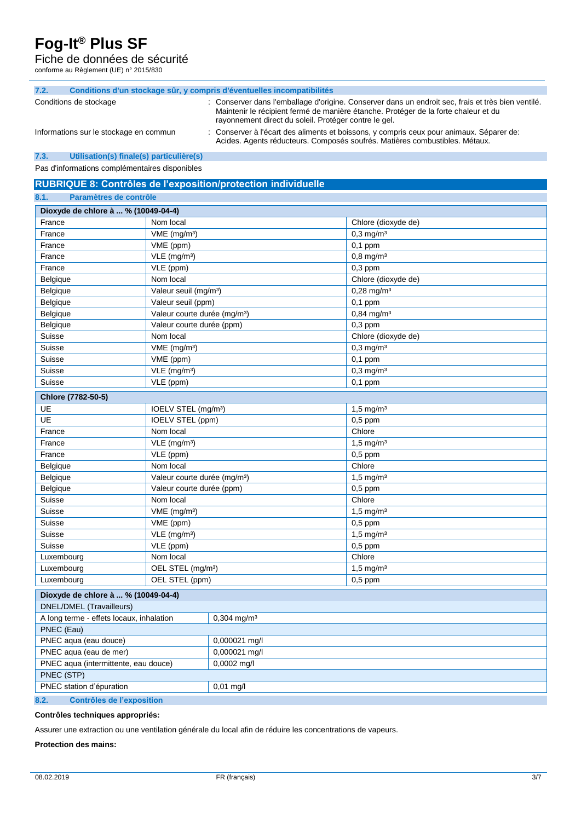### Fiche de données de sécurité

conforme au Règlement (UE) n° 2015/830

| 7.2.                   |                                        | Conditions d'un stockage sûr, y compris d'éventuelles incompatibilités                                                                                                                                                                             |
|------------------------|----------------------------------------|----------------------------------------------------------------------------------------------------------------------------------------------------------------------------------------------------------------------------------------------------|
| Conditions de stockage |                                        | : Conserver dans l'emballage d'origine. Conserver dans un endroit sec, frais et très bien ventilé.<br>Maintenir le récipient fermé de manière étanche. Protéger de la forte chaleur et du<br>rayonnement direct du soleil. Protéger contre le gel. |
|                        | Informations sur le stockage en commun | : Conserver à l'écart des aliments et boissons, y compris ceux pour animaux. Séparer de:<br>Acides. Agents réducteurs. Composés soufrés. Matières combustibles. Métaux.                                                                            |

### **7.3. Utilisation(s) finale(s) particulière(s)**

Pas d'informations complémentaires disponibles

**RUBRIQUE 8: Contrôles de l'exposition/protection individuelle**

| 8.1.<br>Paramètres de contrôle           |                                          |                           |                         |  |  |
|------------------------------------------|------------------------------------------|---------------------------|-------------------------|--|--|
| Dioxyde de chlore à  % (10049-04-4)      |                                          |                           |                         |  |  |
| France                                   | Nom local                                |                           | Chlore (dioxyde de)     |  |  |
| France                                   | VME (mg/m <sup>3</sup> )                 |                           | $0,3$ mg/m <sup>3</sup> |  |  |
| France                                   | VME (ppm)                                |                           | $0,1$ ppm               |  |  |
| France                                   | $VLE$ (mg/m <sup>3</sup> )               |                           | $0,8$ mg/m <sup>3</sup> |  |  |
| France                                   | VLE (ppm)                                |                           | $0,3$ ppm               |  |  |
| Belgique                                 | Nom local                                |                           | Chlore (dioxyde de)     |  |  |
| Belgique                                 | Valeur seuil (mg/m <sup>3</sup> )        |                           | $0,28 \text{ mg/m}^3$   |  |  |
| Belgique                                 | Valeur seuil (ppm)                       |                           | $0,1$ ppm               |  |  |
| Belgique                                 | Valeur courte durée (mg/m <sup>3</sup> ) |                           | $0,84 \text{ mg/m}^3$   |  |  |
| Belgique                                 | Valeur courte durée (ppm)                |                           | $0,3$ ppm               |  |  |
| Suisse                                   | Nom local                                |                           | Chlore (dioxyde de)     |  |  |
| Suisse                                   | VME (mg/m <sup>3</sup> )                 |                           | $0,3$ mg/m <sup>3</sup> |  |  |
| Suisse                                   | VME (ppm)                                |                           | $0,1$ ppm               |  |  |
| Suisse                                   | VLE (mg/m <sup>3</sup> )                 |                           | $0,3$ mg/m <sup>3</sup> |  |  |
| Suisse                                   | VLE (ppm)                                |                           | $0,1$ ppm               |  |  |
| Chlore (7782-50-5)                       |                                          |                           |                         |  |  |
| UE                                       | IOELV STEL (mg/m <sup>3</sup> )          |                           | $1,5 \, \text{mg/m}^3$  |  |  |
| UE                                       | IOELV STEL (ppm)                         |                           | $0,5$ ppm               |  |  |
| France                                   | Nom local                                |                           | Chlore                  |  |  |
| France                                   | VLE (mg/m <sup>3</sup> )                 |                           | $1,5 \,\mathrm{mg/m^3}$ |  |  |
| France                                   | VLE (ppm)                                |                           | $0,5$ ppm               |  |  |
| Belgique                                 | Nom local                                |                           | Chlore                  |  |  |
| Belgique                                 | Valeur courte durée (mg/m <sup>3</sup> ) |                           | $1,5 \,\mathrm{mg/m^3}$ |  |  |
| Belgique                                 | Valeur courte durée (ppm)                |                           | $0,5$ ppm               |  |  |
| Suisse                                   | Nom local                                |                           | Chlore                  |  |  |
| Suisse                                   | $VME$ (mg/m <sup>3</sup> )               |                           | $1,5$ mg/m <sup>3</sup> |  |  |
| Suisse                                   | VME (ppm)                                |                           | $0,5$ ppm               |  |  |
| Suisse                                   | $VLE$ (mg/m <sup>3</sup> )               |                           | $1,5 \, \text{mg/m}^3$  |  |  |
| Suisse                                   | VLE (ppm)                                |                           | $0,5$ ppm               |  |  |
| Luxembourg                               | Nom local                                |                           | Chlore                  |  |  |
| Luxembourg                               | OEL STEL (mg/m <sup>3</sup> )            |                           | $1,5$ mg/m <sup>3</sup> |  |  |
| Luxembourg                               | OEL STEL (ppm)                           |                           | $0,5$ ppm               |  |  |
| Dioxyde de chlore à  % (10049-04-4)      |                                          |                           |                         |  |  |
| DNEL/DMEL (Travailleurs)                 |                                          |                           |                         |  |  |
| A long terme - effets locaux, inhalation |                                          | $0,304$ mg/m <sup>3</sup> |                         |  |  |
| PNEC (Eau)                               |                                          |                           |                         |  |  |
| PNEC aqua (eau douce)                    |                                          | 0,000021 mg/l             |                         |  |  |
| PNEC aqua (eau de mer)                   |                                          | 0,000021 mg/l             |                         |  |  |
| PNEC aqua (intermittente, eau douce)     |                                          | 0,0002 mg/l               |                         |  |  |
| PNEC (STP)                               |                                          |                           |                         |  |  |
| PNEC station d'épuration                 |                                          | $0,01$ mg/l               |                         |  |  |
| <b>Contrôles de l'exposition</b><br>8.2. |                                          |                           |                         |  |  |

### **Contrôles techniques appropriés:**

Assurer une extraction ou une ventilation générale du local afin de réduire les concentrations de vapeurs.

### **Protection des mains:**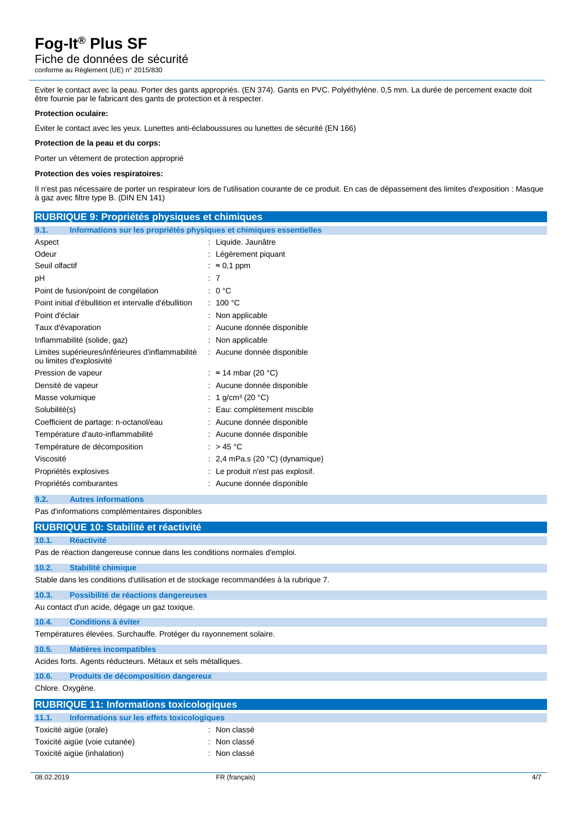## Fiche de données de sécurité

conforme au Règlement (UE) n° 2015/830

Eviter le contact avec la peau. Porter des gants appropriés. (EN 374). Gants en PVC. Polyéthylène. 0,5 mm. La durée de percement exacte doit être fournie par le fabricant des gants de protection et à respecter.

### **Protection oculaire:**

Éviter le contact avec les yeux. Lunettes anti-éclaboussures ou lunettes de sécurité (EN 166)

### **Protection de la peau et du corps:**

Porter un vêtement de protection approprié

### **Protection des voies respiratoires:**

Il n'est pas nécessaire de porter un respirateur lors de l'utilisation courante de ce produit. En cas de dépassement des limites d'exposition : Masque à gaz avec filtre type B. (DIN EN 141)

| <b>RUBRIQUE 9: Propriétés physiques et chimiques</b>                                  |                                         |  |  |  |
|---------------------------------------------------------------------------------------|-----------------------------------------|--|--|--|
| Informations sur les propriétés physiques et chimiques essentielles<br>9.1.           |                                         |  |  |  |
| Aspect                                                                                | : Liquide. Jaunâtre                     |  |  |  |
| Odeur                                                                                 | : Légèrement piquant                    |  |  |  |
| Seuil olfactif                                                                        | : $\approx 0.1$ ppm                     |  |  |  |
| рH                                                                                    | : 7                                     |  |  |  |
| Point de fusion/point de congélation                                                  | : 0 °C                                  |  |  |  |
| Point initial d'ébullition et intervalle d'ébullition                                 | : 100 °C                                |  |  |  |
| Point d'éclair                                                                        | Non applicable                          |  |  |  |
| Taux d'évaporation                                                                    | Aucune donnée disponible                |  |  |  |
| Inflammabilité (solide, gaz)                                                          | Non applicable                          |  |  |  |
| Limites supérieures/inférieures d'inflammabilité<br>ou limites d'explosivité          | : Aucune donnée disponible              |  |  |  |
| Pression de vapeur                                                                    | : $\approx$ 14 mbar (20 °C)             |  |  |  |
| Densité de vapeur                                                                     | Aucune donnée disponible                |  |  |  |
| Masse volumique                                                                       | 1 g/cm <sup>3</sup> (20 °C)             |  |  |  |
| Solubilité(s)                                                                         | Eau: complètement miscible              |  |  |  |
| Coefficient de partage: n-octanol/eau                                                 | Aucune donnée disponible                |  |  |  |
| Température d'auto-inflammabilité                                                     | Aucune donnée disponible                |  |  |  |
| Température de décomposition                                                          | : $>45^{\circ}$ C                       |  |  |  |
| Viscosité                                                                             | 2,4 mPa.s (20 $^{\circ}$ C) (dynamique) |  |  |  |
| Propriétés explosives                                                                 | Le produit n'est pas explosif.          |  |  |  |
| Propriétés comburantes                                                                | Aucune donnée disponible                |  |  |  |
| 9.2.<br><b>Autres informations</b>                                                    |                                         |  |  |  |
| Pas d'informations complémentaires disponibles                                        |                                         |  |  |  |
| <b>RUBRIQUE 10: Stabilité et réactivité</b>                                           |                                         |  |  |  |
| 10.1.<br><b>Réactivité</b>                                                            |                                         |  |  |  |
| Pas de réaction dangereuse connue dans les conditions normales d'emploi.              |                                         |  |  |  |
| 10.2.<br>Stabilité chimique                                                           |                                         |  |  |  |
| Stable dans les conditions d'utilisation et de stockage recommandées à la rubrique 7. |                                         |  |  |  |
| 10.3.<br>Possibilité de réactions dangereuses                                         |                                         |  |  |  |
| Au contact d'un acide, dégage un gaz toxique.                                         |                                         |  |  |  |
| 10.4.<br><b>Conditions à éviter</b>                                                   |                                         |  |  |  |
| Températures élevées. Surchauffe. Protéger du rayonnement solaire.                    |                                         |  |  |  |
| 10.5.<br><b>Matières incompatibles</b>                                                |                                         |  |  |  |
| Acides forts. Agents réducteurs. Métaux et sels métalliques.                          |                                         |  |  |  |
| Produits de décomposition dangereux<br>10.6.                                          |                                         |  |  |  |
| Chlore. Oxygène.                                                                      |                                         |  |  |  |
| <b>RUBRIQUE 11: Informations toxicologiques</b>                                       |                                         |  |  |  |
| 11.1.<br>Informations sur les effets toxicologiques                                   |                                         |  |  |  |
| Toxicité aigüe (orale)                                                                | : Non classé                            |  |  |  |
| Toxicité aigüe (voie cutanée)                                                         | Non classé                              |  |  |  |
| Toxicité aigüe (inhalation)                                                           | Non classé                              |  |  |  |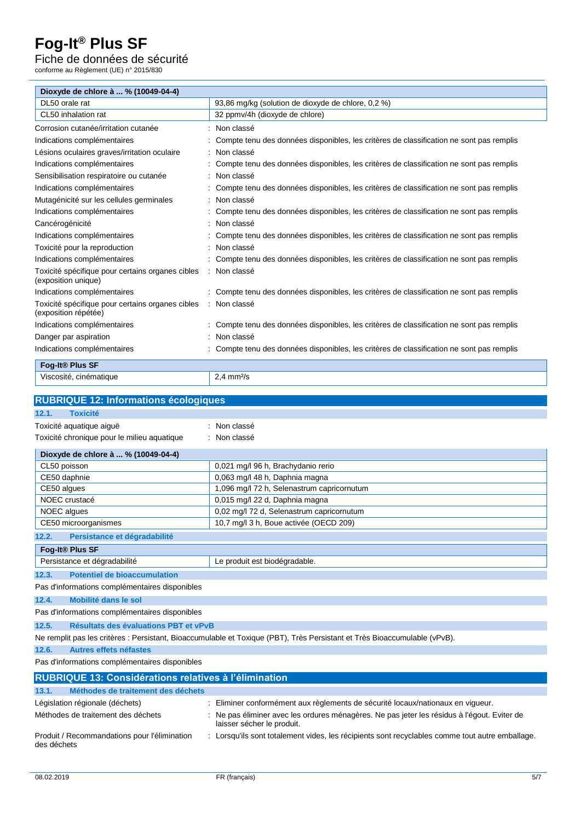## Fiche de données de sécurité

conforme au Règlement (UE) n° 2015/830

| Dioxyde de chlore à  % (10049-04-4)                                      |                                                                                         |
|--------------------------------------------------------------------------|-----------------------------------------------------------------------------------------|
| DL50 orale rat                                                           | 93,86 mg/kg (solution de dioxyde de chlore, 0,2 %)                                      |
| CL50 inhalation rat                                                      | 32 ppmv/4h (dioxyde de chlore)                                                          |
| Corrosion cutanée/irritation cutanée                                     | Non classé                                                                              |
| Indications complémentaires                                              | Compte tenu des données disponibles, les critères de classification ne sont pas remplis |
| Lésions oculaires graves/irritation oculaire                             | Non classé                                                                              |
| Indications complémentaires                                              | Compte tenu des données disponibles, les critères de classification ne sont pas remplis |
| Sensibilisation respiratoire ou cutanée                                  | Non classé                                                                              |
| Indications complémentaires                                              | Compte tenu des données disponibles, les critères de classification ne sont pas remplis |
| Mutagénicité sur les cellules germinales                                 | Non classé                                                                              |
| Indications complémentaires                                              | Compte tenu des données disponibles, les critères de classification ne sont pas remplis |
| Cancérogénicité                                                          | Non classé                                                                              |
| Indications complémentaires                                              | Compte tenu des données disponibles, les critères de classification ne sont pas remplis |
| Toxicité pour la reproduction                                            | Non classé                                                                              |
| Indications complémentaires                                              | Compte tenu des données disponibles, les critères de classification ne sont pas remplis |
| Toxicité spécifique pour certains organes cibles<br>(exposition unique)  | Non classé                                                                              |
| Indications complémentaires                                              | Compte tenu des données disponibles, les critères de classification ne sont pas remplis |
| Toxicité spécifique pour certains organes cibles<br>(exposition répétée) | : Non classé                                                                            |
| Indications complémentaires                                              | Compte tenu des données disponibles, les critères de classification ne sont pas remplis |
| Danger par aspiration                                                    | Non classé                                                                              |
| Indications complémentaires                                              | Compte tenu des données disponibles, les critères de classification ne sont pas remplis |
| Fog-It® Plus SF                                                          |                                                                                         |
| Viscosité, cinématique                                                   | $2.4$ mm $2/s$                                                                          |
|                                                                          |                                                                                         |
| <b>RUBRIQUE 12: Informations écologiques</b>                             |                                                                                         |
| 12.1.<br><b>Toxicité</b>                                                 |                                                                                         |
| Toxicité aquatique aiguë                                                 | Non classé                                                                              |
| Toxicité chronique pour le milieu aquatique                              | : Non classé                                                                            |
| Dioxyde de chlore à  % (10049-04-4)                                      |                                                                                         |
| CL50 poisson                                                             | 0,021 mg/l 96 h, Brachydanio rerio                                                      |
| CE50 daphnie                                                             | 0,063 mg/l 48 h, Daphnia magna                                                          |
| CE50 algues                                                              | 1,096 mg/l 72 h, Selenastrum capricornutum                                              |
| NOEC crustacé                                                            | 0,015 mg/l 22 d, Daphnia magna                                                          |
| NOEC algues                                                              | 0,02 mg/l 72 d, Selenastrum capricornutum                                               |
| CE50 microorganismes                                                     | 10,7 mg/l 3 h, Boue activée (OECD 209)                                                  |
| 12.2.<br>Persistance et dégradabilité                                    |                                                                                         |
| Fog-It <sup>®</sup> Plus SF                                              |                                                                                         |
| Persistance et dégradabilité                                             | Le produit est biodégradable.                                                           |

### **12.3. Potentiel de bioaccumulation**

Pas d'informations complémentaires disponibles

### **12.4. Mobilité dans le sol**

Pas d'informations complémentaires disponibles

```
12.5. Résultats des évaluations PBT et vPvB
```
Ne remplit pas les critères : Persistant, Bioaccumulable et Toxique (PBT), Très Persistant et Très Bioaccumulable (vPvB).

**12.6. Autres effets néfastes**

Pas d'informations complémentaires disponibles

| <b>RUBRIQUE 13: Considérations relatives à l'élimination</b> |                                                                                                                           |  |  |  |
|--------------------------------------------------------------|---------------------------------------------------------------------------------------------------------------------------|--|--|--|
| Méthodes de traitement des déchets<br>13.1.                  |                                                                                                                           |  |  |  |
| Législation régionale (déchets)                              | Eliminer conformément aux règlements de sécurité locaux/nationaux en viqueur.                                             |  |  |  |
| Méthodes de traitement des déchets                           | : Ne pas éliminer avec les ordures ménagères. Ne pas jeter les résidus à l'égout. Eviter de<br>laisser sécher le produit. |  |  |  |
| Produit / Recommandations pour l'élimination<br>des déchets  | Lorsqu'ils sont totalement vides, les récipients sont recyclables comme tout autre emballage.                             |  |  |  |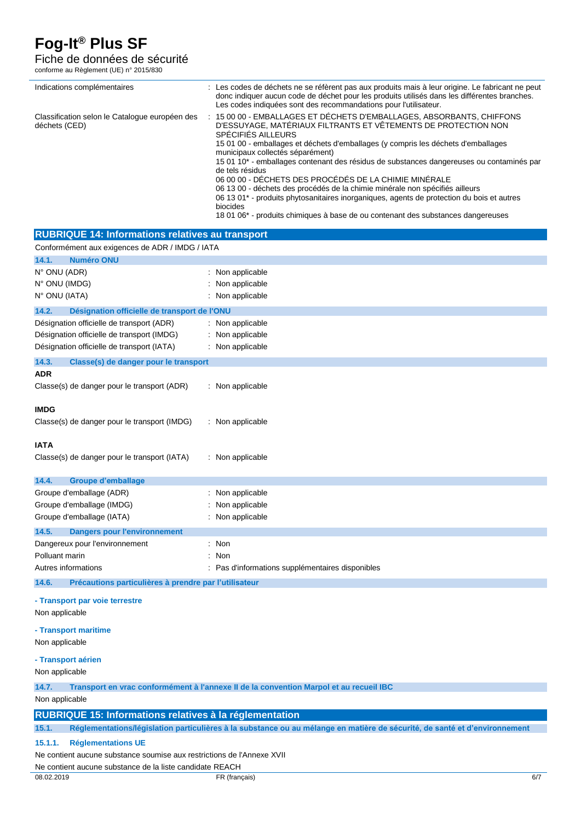### Fiche de données de sécurité

conforme au Règlement (UE) n° 2015/830

| : Les codes de déchets ne se réfèrent pas aux produits mais à leur origine. Le fabricant ne peut<br>Indications complémentaires<br>donc indiquer aucun code de déchet pour les produits utilisés dans les différentes branches.<br>Les codes indiquées sont des recommandations pour l'utilisateur.<br>15 00 00 - EMBALLAGES ET DÉCHETS D'EMBALLAGES, ABSORBANTS, CHIFFONS<br>Classification selon le Catalogue européen des<br>D'ESSUYAGE, MATÉRIAUX FILTRANTS ET VÊTEMENTS DE PROTECTION NON<br>déchets (CED)<br>SPÉCIFIÉS AILLEURS<br>15 01 00 - emballages et déchets d'emballages (y compris les déchets d'emballages<br>municipaux collectés séparément)<br>15 01 10* - emballages contenant des résidus de substances dangereuses ou contaminés par<br>de tels résidus<br>06 00 00 - DÉCHETS DES PROCÉDÉS DE LA CHIMIE MINÉRALE<br>06 13 00 - déchets des procédés de la chimie minérale non spécifiés ailleurs<br>06 13 01 <sup>*</sup> - produits phytosanitaires inorganiques, agents de protection du bois et autres<br>biocides<br>18 01 06* - produits chimiques à base de ou contenant des substances dangereuses<br><b>RUBRIQUE 14: Informations relatives au transport</b><br>Conformément aux exigences de ADR / IMDG / IATA<br>14.1.<br><b>Numéro ONU</b><br>N° ONU (ADR)<br>: Non applicable<br>N° ONU (IMDG)<br>: Non applicable<br>N° ONU (IATA)<br>: Non applicable<br>14.2.<br>Désignation officielle de transport de l'ONU<br>Désignation officielle de transport (ADR)<br>: Non applicable<br>Désignation officielle de transport (IMDG)<br>: Non applicable<br>Désignation officielle de transport (IATA)<br>: Non applicable<br>14.3.<br>Classe(s) de danger pour le transport<br><b>ADR</b><br>Classe(s) de danger pour le transport (ADR)<br>: Non applicable<br><b>IMDG</b><br>Classe(s) de danger pour le transport (IMDG)<br>: Non applicable<br><b>IATA</b><br>Classe(s) de danger pour le transport (IATA)<br>: Non applicable<br><b>Groupe d'emballage</b><br>14.4.<br>Groupe d'emballage (ADR)<br>: Non applicable<br>Groupe d'emballage (IMDG)<br>: Non applicable<br>Groupe d'emballage (IATA)<br>: Non applicable<br>14.5.<br><b>Dangers pour l'environnement</b><br>: Non<br>Dangereux pour l'environnement<br>Polluant marin<br>: Non<br>Autres informations<br>: Pas d'informations supplémentaires disponibles<br>Précautions particulières à prendre par l'utilisateur<br>14.6.<br>- Transport par voie terrestre<br>Non applicable<br>- Transport maritime<br>Non applicable<br>- Transport aérien<br>Non applicable<br>14.7.<br>Transport en vrac conformément à l'annexe II de la convention Marpol et au recueil IBC<br>Non applicable<br><b>RUBRIQUE 15: Informations relatives à la réglementation</b><br>15.1.<br>Réglementations/législation particulières à la substance ou au mélange en matière de sécurité, de santé et d'environnement |                                      |  |
|-------------------------------------------------------------------------------------------------------------------------------------------------------------------------------------------------------------------------------------------------------------------------------------------------------------------------------------------------------------------------------------------------------------------------------------------------------------------------------------------------------------------------------------------------------------------------------------------------------------------------------------------------------------------------------------------------------------------------------------------------------------------------------------------------------------------------------------------------------------------------------------------------------------------------------------------------------------------------------------------------------------------------------------------------------------------------------------------------------------------------------------------------------------------------------------------------------------------------------------------------------------------------------------------------------------------------------------------------------------------------------------------------------------------------------------------------------------------------------------------------------------------------------------------------------------------------------------------------------------------------------------------------------------------------------------------------------------------------------------------------------------------------------------------------------------------------------------------------------------------------------------------------------------------------------------------------------------------------------------------------------------------------------------------------------------------------------------------------------------------------------------------------------------------------------------------------------------------------------------------------------------------------------------------------------------------------------------------------------------------------------------------------------------------------------------------------------------------------------------------------------------------------------------------------------------------------------------------------------------------------------------------------------------------------------------------------------------------------------------------------------------------------------------------------------------------------------------------------------------------------------------------------|--------------------------------------|--|
|                                                                                                                                                                                                                                                                                                                                                                                                                                                                                                                                                                                                                                                                                                                                                                                                                                                                                                                                                                                                                                                                                                                                                                                                                                                                                                                                                                                                                                                                                                                                                                                                                                                                                                                                                                                                                                                                                                                                                                                                                                                                                                                                                                                                                                                                                                                                                                                                                                                                                                                                                                                                                                                                                                                                                                                                                                                                                                 |                                      |  |
|                                                                                                                                                                                                                                                                                                                                                                                                                                                                                                                                                                                                                                                                                                                                                                                                                                                                                                                                                                                                                                                                                                                                                                                                                                                                                                                                                                                                                                                                                                                                                                                                                                                                                                                                                                                                                                                                                                                                                                                                                                                                                                                                                                                                                                                                                                                                                                                                                                                                                                                                                                                                                                                                                                                                                                                                                                                                                                 |                                      |  |
|                                                                                                                                                                                                                                                                                                                                                                                                                                                                                                                                                                                                                                                                                                                                                                                                                                                                                                                                                                                                                                                                                                                                                                                                                                                                                                                                                                                                                                                                                                                                                                                                                                                                                                                                                                                                                                                                                                                                                                                                                                                                                                                                                                                                                                                                                                                                                                                                                                                                                                                                                                                                                                                                                                                                                                                                                                                                                                 |                                      |  |
|                                                                                                                                                                                                                                                                                                                                                                                                                                                                                                                                                                                                                                                                                                                                                                                                                                                                                                                                                                                                                                                                                                                                                                                                                                                                                                                                                                                                                                                                                                                                                                                                                                                                                                                                                                                                                                                                                                                                                                                                                                                                                                                                                                                                                                                                                                                                                                                                                                                                                                                                                                                                                                                                                                                                                                                                                                                                                                 |                                      |  |
|                                                                                                                                                                                                                                                                                                                                                                                                                                                                                                                                                                                                                                                                                                                                                                                                                                                                                                                                                                                                                                                                                                                                                                                                                                                                                                                                                                                                                                                                                                                                                                                                                                                                                                                                                                                                                                                                                                                                                                                                                                                                                                                                                                                                                                                                                                                                                                                                                                                                                                                                                                                                                                                                                                                                                                                                                                                                                                 |                                      |  |
|                                                                                                                                                                                                                                                                                                                                                                                                                                                                                                                                                                                                                                                                                                                                                                                                                                                                                                                                                                                                                                                                                                                                                                                                                                                                                                                                                                                                                                                                                                                                                                                                                                                                                                                                                                                                                                                                                                                                                                                                                                                                                                                                                                                                                                                                                                                                                                                                                                                                                                                                                                                                                                                                                                                                                                                                                                                                                                 |                                      |  |
|                                                                                                                                                                                                                                                                                                                                                                                                                                                                                                                                                                                                                                                                                                                                                                                                                                                                                                                                                                                                                                                                                                                                                                                                                                                                                                                                                                                                                                                                                                                                                                                                                                                                                                                                                                                                                                                                                                                                                                                                                                                                                                                                                                                                                                                                                                                                                                                                                                                                                                                                                                                                                                                                                                                                                                                                                                                                                                 |                                      |  |
|                                                                                                                                                                                                                                                                                                                                                                                                                                                                                                                                                                                                                                                                                                                                                                                                                                                                                                                                                                                                                                                                                                                                                                                                                                                                                                                                                                                                                                                                                                                                                                                                                                                                                                                                                                                                                                                                                                                                                                                                                                                                                                                                                                                                                                                                                                                                                                                                                                                                                                                                                                                                                                                                                                                                                                                                                                                                                                 |                                      |  |
|                                                                                                                                                                                                                                                                                                                                                                                                                                                                                                                                                                                                                                                                                                                                                                                                                                                                                                                                                                                                                                                                                                                                                                                                                                                                                                                                                                                                                                                                                                                                                                                                                                                                                                                                                                                                                                                                                                                                                                                                                                                                                                                                                                                                                                                                                                                                                                                                                                                                                                                                                                                                                                                                                                                                                                                                                                                                                                 |                                      |  |
|                                                                                                                                                                                                                                                                                                                                                                                                                                                                                                                                                                                                                                                                                                                                                                                                                                                                                                                                                                                                                                                                                                                                                                                                                                                                                                                                                                                                                                                                                                                                                                                                                                                                                                                                                                                                                                                                                                                                                                                                                                                                                                                                                                                                                                                                                                                                                                                                                                                                                                                                                                                                                                                                                                                                                                                                                                                                                                 |                                      |  |
|                                                                                                                                                                                                                                                                                                                                                                                                                                                                                                                                                                                                                                                                                                                                                                                                                                                                                                                                                                                                                                                                                                                                                                                                                                                                                                                                                                                                                                                                                                                                                                                                                                                                                                                                                                                                                                                                                                                                                                                                                                                                                                                                                                                                                                                                                                                                                                                                                                                                                                                                                                                                                                                                                                                                                                                                                                                                                                 |                                      |  |
|                                                                                                                                                                                                                                                                                                                                                                                                                                                                                                                                                                                                                                                                                                                                                                                                                                                                                                                                                                                                                                                                                                                                                                                                                                                                                                                                                                                                                                                                                                                                                                                                                                                                                                                                                                                                                                                                                                                                                                                                                                                                                                                                                                                                                                                                                                                                                                                                                                                                                                                                                                                                                                                                                                                                                                                                                                                                                                 |                                      |  |
|                                                                                                                                                                                                                                                                                                                                                                                                                                                                                                                                                                                                                                                                                                                                                                                                                                                                                                                                                                                                                                                                                                                                                                                                                                                                                                                                                                                                                                                                                                                                                                                                                                                                                                                                                                                                                                                                                                                                                                                                                                                                                                                                                                                                                                                                                                                                                                                                                                                                                                                                                                                                                                                                                                                                                                                                                                                                                                 |                                      |  |
|                                                                                                                                                                                                                                                                                                                                                                                                                                                                                                                                                                                                                                                                                                                                                                                                                                                                                                                                                                                                                                                                                                                                                                                                                                                                                                                                                                                                                                                                                                                                                                                                                                                                                                                                                                                                                                                                                                                                                                                                                                                                                                                                                                                                                                                                                                                                                                                                                                                                                                                                                                                                                                                                                                                                                                                                                                                                                                 |                                      |  |
|                                                                                                                                                                                                                                                                                                                                                                                                                                                                                                                                                                                                                                                                                                                                                                                                                                                                                                                                                                                                                                                                                                                                                                                                                                                                                                                                                                                                                                                                                                                                                                                                                                                                                                                                                                                                                                                                                                                                                                                                                                                                                                                                                                                                                                                                                                                                                                                                                                                                                                                                                                                                                                                                                                                                                                                                                                                                                                 |                                      |  |
|                                                                                                                                                                                                                                                                                                                                                                                                                                                                                                                                                                                                                                                                                                                                                                                                                                                                                                                                                                                                                                                                                                                                                                                                                                                                                                                                                                                                                                                                                                                                                                                                                                                                                                                                                                                                                                                                                                                                                                                                                                                                                                                                                                                                                                                                                                                                                                                                                                                                                                                                                                                                                                                                                                                                                                                                                                                                                                 |                                      |  |
|                                                                                                                                                                                                                                                                                                                                                                                                                                                                                                                                                                                                                                                                                                                                                                                                                                                                                                                                                                                                                                                                                                                                                                                                                                                                                                                                                                                                                                                                                                                                                                                                                                                                                                                                                                                                                                                                                                                                                                                                                                                                                                                                                                                                                                                                                                                                                                                                                                                                                                                                                                                                                                                                                                                                                                                                                                                                                                 |                                      |  |
|                                                                                                                                                                                                                                                                                                                                                                                                                                                                                                                                                                                                                                                                                                                                                                                                                                                                                                                                                                                                                                                                                                                                                                                                                                                                                                                                                                                                                                                                                                                                                                                                                                                                                                                                                                                                                                                                                                                                                                                                                                                                                                                                                                                                                                                                                                                                                                                                                                                                                                                                                                                                                                                                                                                                                                                                                                                                                                 |                                      |  |
|                                                                                                                                                                                                                                                                                                                                                                                                                                                                                                                                                                                                                                                                                                                                                                                                                                                                                                                                                                                                                                                                                                                                                                                                                                                                                                                                                                                                                                                                                                                                                                                                                                                                                                                                                                                                                                                                                                                                                                                                                                                                                                                                                                                                                                                                                                                                                                                                                                                                                                                                                                                                                                                                                                                                                                                                                                                                                                 |                                      |  |
|                                                                                                                                                                                                                                                                                                                                                                                                                                                                                                                                                                                                                                                                                                                                                                                                                                                                                                                                                                                                                                                                                                                                                                                                                                                                                                                                                                                                                                                                                                                                                                                                                                                                                                                                                                                                                                                                                                                                                                                                                                                                                                                                                                                                                                                                                                                                                                                                                                                                                                                                                                                                                                                                                                                                                                                                                                                                                                 |                                      |  |
|                                                                                                                                                                                                                                                                                                                                                                                                                                                                                                                                                                                                                                                                                                                                                                                                                                                                                                                                                                                                                                                                                                                                                                                                                                                                                                                                                                                                                                                                                                                                                                                                                                                                                                                                                                                                                                                                                                                                                                                                                                                                                                                                                                                                                                                                                                                                                                                                                                                                                                                                                                                                                                                                                                                                                                                                                                                                                                 |                                      |  |
|                                                                                                                                                                                                                                                                                                                                                                                                                                                                                                                                                                                                                                                                                                                                                                                                                                                                                                                                                                                                                                                                                                                                                                                                                                                                                                                                                                                                                                                                                                                                                                                                                                                                                                                                                                                                                                                                                                                                                                                                                                                                                                                                                                                                                                                                                                                                                                                                                                                                                                                                                                                                                                                                                                                                                                                                                                                                                                 |                                      |  |
|                                                                                                                                                                                                                                                                                                                                                                                                                                                                                                                                                                                                                                                                                                                                                                                                                                                                                                                                                                                                                                                                                                                                                                                                                                                                                                                                                                                                                                                                                                                                                                                                                                                                                                                                                                                                                                                                                                                                                                                                                                                                                                                                                                                                                                                                                                                                                                                                                                                                                                                                                                                                                                                                                                                                                                                                                                                                                                 |                                      |  |
|                                                                                                                                                                                                                                                                                                                                                                                                                                                                                                                                                                                                                                                                                                                                                                                                                                                                                                                                                                                                                                                                                                                                                                                                                                                                                                                                                                                                                                                                                                                                                                                                                                                                                                                                                                                                                                                                                                                                                                                                                                                                                                                                                                                                                                                                                                                                                                                                                                                                                                                                                                                                                                                                                                                                                                                                                                                                                                 |                                      |  |
|                                                                                                                                                                                                                                                                                                                                                                                                                                                                                                                                                                                                                                                                                                                                                                                                                                                                                                                                                                                                                                                                                                                                                                                                                                                                                                                                                                                                                                                                                                                                                                                                                                                                                                                                                                                                                                                                                                                                                                                                                                                                                                                                                                                                                                                                                                                                                                                                                                                                                                                                                                                                                                                                                                                                                                                                                                                                                                 |                                      |  |
|                                                                                                                                                                                                                                                                                                                                                                                                                                                                                                                                                                                                                                                                                                                                                                                                                                                                                                                                                                                                                                                                                                                                                                                                                                                                                                                                                                                                                                                                                                                                                                                                                                                                                                                                                                                                                                                                                                                                                                                                                                                                                                                                                                                                                                                                                                                                                                                                                                                                                                                                                                                                                                                                                                                                                                                                                                                                                                 |                                      |  |
|                                                                                                                                                                                                                                                                                                                                                                                                                                                                                                                                                                                                                                                                                                                                                                                                                                                                                                                                                                                                                                                                                                                                                                                                                                                                                                                                                                                                                                                                                                                                                                                                                                                                                                                                                                                                                                                                                                                                                                                                                                                                                                                                                                                                                                                                                                                                                                                                                                                                                                                                                                                                                                                                                                                                                                                                                                                                                                 |                                      |  |
|                                                                                                                                                                                                                                                                                                                                                                                                                                                                                                                                                                                                                                                                                                                                                                                                                                                                                                                                                                                                                                                                                                                                                                                                                                                                                                                                                                                                                                                                                                                                                                                                                                                                                                                                                                                                                                                                                                                                                                                                                                                                                                                                                                                                                                                                                                                                                                                                                                                                                                                                                                                                                                                                                                                                                                                                                                                                                                 |                                      |  |
|                                                                                                                                                                                                                                                                                                                                                                                                                                                                                                                                                                                                                                                                                                                                                                                                                                                                                                                                                                                                                                                                                                                                                                                                                                                                                                                                                                                                                                                                                                                                                                                                                                                                                                                                                                                                                                                                                                                                                                                                                                                                                                                                                                                                                                                                                                                                                                                                                                                                                                                                                                                                                                                                                                                                                                                                                                                                                                 |                                      |  |
|                                                                                                                                                                                                                                                                                                                                                                                                                                                                                                                                                                                                                                                                                                                                                                                                                                                                                                                                                                                                                                                                                                                                                                                                                                                                                                                                                                                                                                                                                                                                                                                                                                                                                                                                                                                                                                                                                                                                                                                                                                                                                                                                                                                                                                                                                                                                                                                                                                                                                                                                                                                                                                                                                                                                                                                                                                                                                                 |                                      |  |
|                                                                                                                                                                                                                                                                                                                                                                                                                                                                                                                                                                                                                                                                                                                                                                                                                                                                                                                                                                                                                                                                                                                                                                                                                                                                                                                                                                                                                                                                                                                                                                                                                                                                                                                                                                                                                                                                                                                                                                                                                                                                                                                                                                                                                                                                                                                                                                                                                                                                                                                                                                                                                                                                                                                                                                                                                                                                                                 |                                      |  |
|                                                                                                                                                                                                                                                                                                                                                                                                                                                                                                                                                                                                                                                                                                                                                                                                                                                                                                                                                                                                                                                                                                                                                                                                                                                                                                                                                                                                                                                                                                                                                                                                                                                                                                                                                                                                                                                                                                                                                                                                                                                                                                                                                                                                                                                                                                                                                                                                                                                                                                                                                                                                                                                                                                                                                                                                                                                                                                 |                                      |  |
|                                                                                                                                                                                                                                                                                                                                                                                                                                                                                                                                                                                                                                                                                                                                                                                                                                                                                                                                                                                                                                                                                                                                                                                                                                                                                                                                                                                                                                                                                                                                                                                                                                                                                                                                                                                                                                                                                                                                                                                                                                                                                                                                                                                                                                                                                                                                                                                                                                                                                                                                                                                                                                                                                                                                                                                                                                                                                                 |                                      |  |
|                                                                                                                                                                                                                                                                                                                                                                                                                                                                                                                                                                                                                                                                                                                                                                                                                                                                                                                                                                                                                                                                                                                                                                                                                                                                                                                                                                                                                                                                                                                                                                                                                                                                                                                                                                                                                                                                                                                                                                                                                                                                                                                                                                                                                                                                                                                                                                                                                                                                                                                                                                                                                                                                                                                                                                                                                                                                                                 |                                      |  |
|                                                                                                                                                                                                                                                                                                                                                                                                                                                                                                                                                                                                                                                                                                                                                                                                                                                                                                                                                                                                                                                                                                                                                                                                                                                                                                                                                                                                                                                                                                                                                                                                                                                                                                                                                                                                                                                                                                                                                                                                                                                                                                                                                                                                                                                                                                                                                                                                                                                                                                                                                                                                                                                                                                                                                                                                                                                                                                 |                                      |  |
|                                                                                                                                                                                                                                                                                                                                                                                                                                                                                                                                                                                                                                                                                                                                                                                                                                                                                                                                                                                                                                                                                                                                                                                                                                                                                                                                                                                                                                                                                                                                                                                                                                                                                                                                                                                                                                                                                                                                                                                                                                                                                                                                                                                                                                                                                                                                                                                                                                                                                                                                                                                                                                                                                                                                                                                                                                                                                                 |                                      |  |
|                                                                                                                                                                                                                                                                                                                                                                                                                                                                                                                                                                                                                                                                                                                                                                                                                                                                                                                                                                                                                                                                                                                                                                                                                                                                                                                                                                                                                                                                                                                                                                                                                                                                                                                                                                                                                                                                                                                                                                                                                                                                                                                                                                                                                                                                                                                                                                                                                                                                                                                                                                                                                                                                                                                                                                                                                                                                                                 |                                      |  |
|                                                                                                                                                                                                                                                                                                                                                                                                                                                                                                                                                                                                                                                                                                                                                                                                                                                                                                                                                                                                                                                                                                                                                                                                                                                                                                                                                                                                                                                                                                                                                                                                                                                                                                                                                                                                                                                                                                                                                                                                                                                                                                                                                                                                                                                                                                                                                                                                                                                                                                                                                                                                                                                                                                                                                                                                                                                                                                 |                                      |  |
|                                                                                                                                                                                                                                                                                                                                                                                                                                                                                                                                                                                                                                                                                                                                                                                                                                                                                                                                                                                                                                                                                                                                                                                                                                                                                                                                                                                                                                                                                                                                                                                                                                                                                                                                                                                                                                                                                                                                                                                                                                                                                                                                                                                                                                                                                                                                                                                                                                                                                                                                                                                                                                                                                                                                                                                                                                                                                                 |                                      |  |
|                                                                                                                                                                                                                                                                                                                                                                                                                                                                                                                                                                                                                                                                                                                                                                                                                                                                                                                                                                                                                                                                                                                                                                                                                                                                                                                                                                                                                                                                                                                                                                                                                                                                                                                                                                                                                                                                                                                                                                                                                                                                                                                                                                                                                                                                                                                                                                                                                                                                                                                                                                                                                                                                                                                                                                                                                                                                                                 |                                      |  |
|                                                                                                                                                                                                                                                                                                                                                                                                                                                                                                                                                                                                                                                                                                                                                                                                                                                                                                                                                                                                                                                                                                                                                                                                                                                                                                                                                                                                                                                                                                                                                                                                                                                                                                                                                                                                                                                                                                                                                                                                                                                                                                                                                                                                                                                                                                                                                                                                                                                                                                                                                                                                                                                                                                                                                                                                                                                                                                 |                                      |  |
|                                                                                                                                                                                                                                                                                                                                                                                                                                                                                                                                                                                                                                                                                                                                                                                                                                                                                                                                                                                                                                                                                                                                                                                                                                                                                                                                                                                                                                                                                                                                                                                                                                                                                                                                                                                                                                                                                                                                                                                                                                                                                                                                                                                                                                                                                                                                                                                                                                                                                                                                                                                                                                                                                                                                                                                                                                                                                                 |                                      |  |
|                                                                                                                                                                                                                                                                                                                                                                                                                                                                                                                                                                                                                                                                                                                                                                                                                                                                                                                                                                                                                                                                                                                                                                                                                                                                                                                                                                                                                                                                                                                                                                                                                                                                                                                                                                                                                                                                                                                                                                                                                                                                                                                                                                                                                                                                                                                                                                                                                                                                                                                                                                                                                                                                                                                                                                                                                                                                                                 |                                      |  |
|                                                                                                                                                                                                                                                                                                                                                                                                                                                                                                                                                                                                                                                                                                                                                                                                                                                                                                                                                                                                                                                                                                                                                                                                                                                                                                                                                                                                                                                                                                                                                                                                                                                                                                                                                                                                                                                                                                                                                                                                                                                                                                                                                                                                                                                                                                                                                                                                                                                                                                                                                                                                                                                                                                                                                                                                                                                                                                 |                                      |  |
|                                                                                                                                                                                                                                                                                                                                                                                                                                                                                                                                                                                                                                                                                                                                                                                                                                                                                                                                                                                                                                                                                                                                                                                                                                                                                                                                                                                                                                                                                                                                                                                                                                                                                                                                                                                                                                                                                                                                                                                                                                                                                                                                                                                                                                                                                                                                                                                                                                                                                                                                                                                                                                                                                                                                                                                                                                                                                                 | 15.1.1.<br><b>Réglementations UE</b> |  |

Ne contient aucune substance soumise aux restrictions de l'Annexe XVII

Ne contient aucune substance de la liste candidate REACH<br>08.02.2019 FR (franc